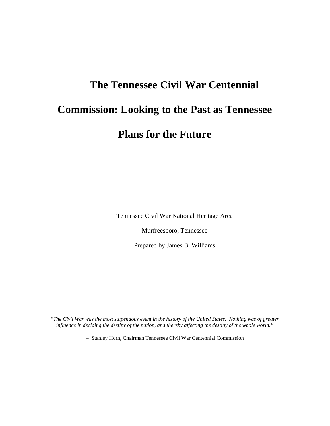# **The Tennessee Civil War Centennial Commission: Looking to the Past as Tennessee Plans for the Future**

Tennessee Civil War National Heritage Area

Murfreesboro, Tennessee

Prepared by James B. Williams

"*The Civil War was the most stupendous event in the history of the United States. Nothing was of greater influence in deciding the destiny of the nation, and thereby affecting the destiny of the whole world."* 

− Stanley Horn, Chairman Tennessee Civil War Centennial Commission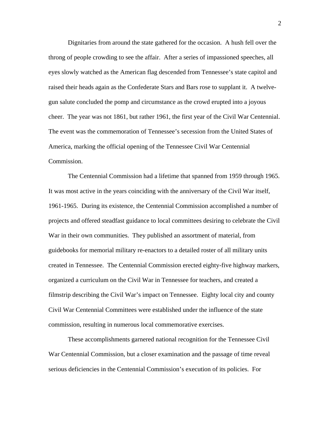Dignitaries from around the state gathered for the occasion. A hush fell over the throng of people crowding to see the affair. After a series of impassioned speeches, all eyes slowly watched as the American flag descended from Tennessee's state capitol and raised their heads again as the Confederate Stars and Bars rose to supplant it. A twelvegun salute concluded the pomp and circumstance as the crowd erupted into a joyous cheer. The year was not 1861, but rather 1961, the first year of the Civil War Centennial. The event was the commemoration of Tennessee's secession from the United States of America, marking the official opening of the Tennessee Civil War Centennial Commission.

 The Centennial Commission had a lifetime that spanned from 1959 through 1965. It was most active in the years coinciding with the anniversary of the Civil War itself, 1961-1965. During its existence, the Centennial Commission accomplished a number of projects and offered steadfast guidance to local committees desiring to celebrate the Civil War in their own communities. They published an assortment of material, from guidebooks for memorial military re-enactors to a detailed roster of all military units created in Tennessee. The Centennial Commission erected eighty-five highway markers, organized a curriculum on the Civil War in Tennessee for teachers, and created a filmstrip describing the Civil War's impact on Tennessee. Eighty local city and county Civil War Centennial Committees were established under the influence of the state commission, resulting in numerous local commemorative exercises.

 These accomplishments garnered national recognition for the Tennessee Civil War Centennial Commission, but a closer examination and the passage of time reveal serious deficiencies in the Centennial Commission's execution of its policies. For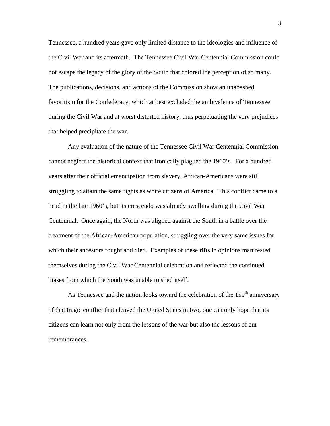Tennessee, a hundred years gave only limited distance to the ideologies and influence of the Civil War and its aftermath. The Tennessee Civil War Centennial Commission could not escape the legacy of the glory of the South that colored the perception of so many. The publications, decisions, and actions of the Commission show an unabashed favoritism for the Confederacy, which at best excluded the ambivalence of Tennessee during the Civil War and at worst distorted history, thus perpetuating the very prejudices that helped precipitate the war.

 Any evaluation of the nature of the Tennessee Civil War Centennial Commission cannot neglect the historical context that ironically plagued the 1960's. For a hundred years after their official emancipation from slavery, African-Americans were still struggling to attain the same rights as white citizens of America. This conflict came to a head in the late 1960's, but its crescendo was already swelling during the Civil War Centennial. Once again, the North was aligned against the South in a battle over the treatment of the African-American population, struggling over the very same issues for which their ancestors fought and died. Examples of these rifts in opinions manifested themselves during the Civil War Centennial celebration and reflected the continued biases from which the South was unable to shed itself.

As Tennessee and the nation looks toward the celebration of the  $150<sup>th</sup>$  anniversary of that tragic conflict that cleaved the United States in two, one can only hope that its citizens can learn not only from the lessons of the war but also the lessons of our remembrances.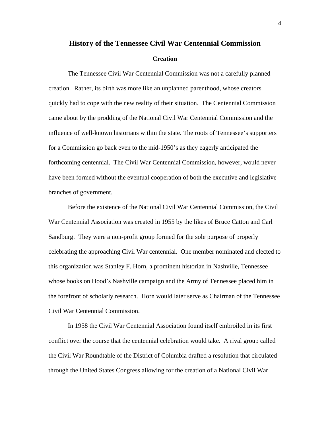## **History of the Tennessee Civil War Centennial Commission Creation**

 The Tennessee Civil War Centennial Commission was not a carefully planned creation. Rather, its birth was more like an unplanned parenthood, whose creators quickly had to cope with the new reality of their situation. The Centennial Commission came about by the prodding of the National Civil War Centennial Commission and the influence of well-known historians within the state. The roots of Tennessee's supporters for a Commission go back even to the mid-1950's as they eagerly anticipated the forthcoming centennial. The Civil War Centennial Commission, however, would never have been formed without the eventual cooperation of both the executive and legislative branches of government.

 Before the existence of the National Civil War Centennial Commission, the Civil War Centennial Association was created in 1955 by the likes of Bruce Catton and Carl Sandburg. They were a non-profit group formed for the sole purpose of properly celebrating the approaching Civil War centennial. One member nominated and elected to this organization was Stanley F. Horn, a prominent historian in Nashville, Tennessee whose books on Hood's Nashville campaign and the Army of Tennessee placed him in the forefront of scholarly research. Horn would later serve as Chairman of the Tennessee Civil War Centennial Commission.

 In 1958 the Civil War Centennial Association found itself embroiled in its first conflict over the course that the centennial celebration would take. A rival group called the Civil War Roundtable of the District of Columbia drafted a resolution that circulated through the United States Congress allowing for the creation of a National Civil War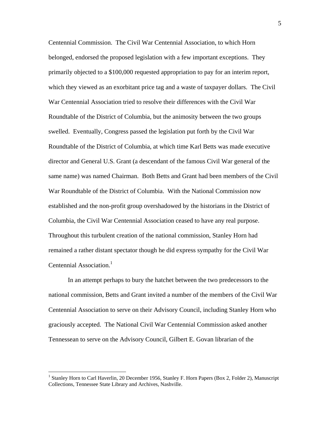Centennial Commission. The Civil War Centennial Association, to which Horn belonged, endorsed the proposed legislation with a few important exceptions. They primarily objected to a \$100,000 requested appropriation to pay for an interim report, which they viewed as an exorbitant price tag and a waste of taxpayer dollars. The Civil War Centennial Association tried to resolve their differences with the Civil War Roundtable of the District of Columbia, but the animosity between the two groups swelled. Eventually, Congress passed the legislation put forth by the Civil War Roundtable of the District of Columbia, at which time Karl Betts was made executive director and General U.S. Grant (a descendant of the famous Civil War general of the same name) was named Chairman. Both Betts and Grant had been members of the Civil War Roundtable of the District of Columbia. With the National Commission now established and the non-profit group overshadowed by the historians in the District of Columbia, the Civil War Centennial Association ceased to have any real purpose. Throughout this turbulent creation of the national commission, Stanley Horn had remained a rather distant spectator though he did express sympathy for the Civil War Centennial Association.<sup>1</sup>

In an attempt perhaps to bury the hatchet between the two predecessors to the national commission, Betts and Grant invited a number of the members of the Civil War Centennial Association to serve on their Advisory Council, including Stanley Horn who graciously accepted. The National Civil War Centennial Commission asked another Tennessean to serve on the Advisory Council, Gilbert E. Govan librarian of the

<sup>&</sup>lt;sup>1</sup> Stanley Horn to Carl Haverlin, 20 December 1956, Stanley F. Horn Papers (Box 2, Folder 2), Manuscript Collections, Tennessee State Library and Archives, Nashville.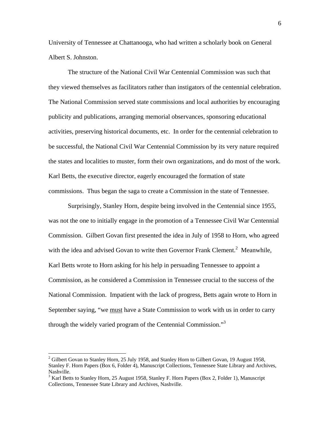University of Tennessee at Chattanooga, who had written a scholarly book on General Albert S. Johnston.

 The structure of the National Civil War Centennial Commission was such that they viewed themselves as facilitators rather than instigators of the centennial celebration. The National Commission served state commissions and local authorities by encouraging publicity and publications, arranging memorial observances, sponsoring educational activities, preserving historical documents, etc. In order for the centennial celebration to be successful, the National Civil War Centennial Commission by its very nature required the states and localities to muster, form their own organizations, and do most of the work. Karl Betts, the executive director, eagerly encouraged the formation of state commissions. Thus began the saga to create a Commission in the state of Tennessee.

 Surprisingly, Stanley Horn, despite being involved in the Centennial since 1955, was not the one to initially engage in the promotion of a Tennessee Civil War Centennial Commission. Gilbert Govan first presented the idea in July of 1958 to Horn, who agreed with the idea and advised Govan to write then Governor Frank Clement.<sup>2</sup> Meanwhile, Karl Betts wrote to Horn asking for his help in persuading Tennessee to appoint a Commission, as he considered a Commission in Tennessee crucial to the success of the National Commission. Impatient with the lack of progress, Betts again wrote to Horn in September saying, "we must have a State Commission to work with us in order to carry through the widely varied program of the Centennial Commission."<sup>3</sup>

 $2^2$  Gilbert Govan to Stanley Horn, 25 July 1958, and Stanley Horn to Gilbert Govan, 19 August 1958, Stanley F. Horn Papers (Box 6, Folder 4), Manuscript Collections, Tennessee State Library and Archives, Nashville.

 $3$  Karl Betts to Stanley Horn, 25 August 1958, Stanley F. Horn Papers (Box 2, Folder 1), Manuscript Collections, Tennessee State Library and Archives, Nashville.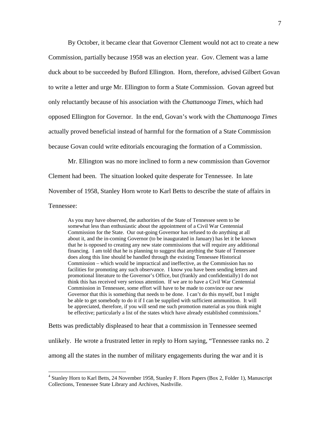By October, it became clear that Governor Clement would not act to create a new Commission, partially because 1958 was an election year. Gov. Clement was a lame duck about to be succeeded by Buford Ellington. Horn, therefore, advised Gilbert Govan to write a letter and urge Mr. Ellington to form a State Commission. Govan agreed but only reluctantly because of his association with the *Chattanooga Times*, which had opposed Ellington for Governor. In the end, Govan's work with the *Chattanooga Times* actually proved beneficial instead of harmful for the formation of a State Commission because Govan could write editorials encouraging the formation of a Commission.

Mr. Ellington was no more inclined to form a new commission than Governor Clement had been. The situation looked quite desperate for Tennessee. In late November of 1958, Stanley Horn wrote to Karl Betts to describe the state of affairs in Tennessee:

As you may have observed, the authorities of the State of Tennessee seem to be somewhat less than enthusiastic about the appointment of a Civil War Centennial Commission for the State. Our out-going Governor has refused to do anything at all about it, and the in-coming Governor (to be inaugurated in January) has let it be known that he is opposed to creating any new state commissions that will require any additional financing. I am told that he is planning to suggest that anything the State of Tennessee does along this line should be handled through the existing Tennessee Historical Commission – which would be impractical and ineffective, as the Commission has no facilities for promoting any such observance. I know you have been sending letters and promotional literature to the Governor's Office, but (frankly and confidentially) I do not think this has received very serious attention. If we are to have a Civil War Centennial Commission in Tennessee, some effort will have to be made to convince our new Governor that this is something that needs to be done. I can't do this myself, but I might be able to get somebody to do it if I can be supplied with sufficient ammunition. It will be appreciated, therefore, if you will send me such promotion material as you think might be effective; particularly a list of the states which have already established commissions.<sup>4</sup>

Betts was predictably displeased to hear that a commission in Tennessee seemed unlikely. He wrote a frustrated letter in reply to Horn saying, "Tennessee ranks no. 2 among all the states in the number of military engagements during the war and it is

<sup>4</sup> Stanley Horn to Karl Betts, 24 November 1958, Stanley F. Horn Papers (Box 2, Folder 1), Manuscript Collections, Tennessee State Library and Archives, Nashville.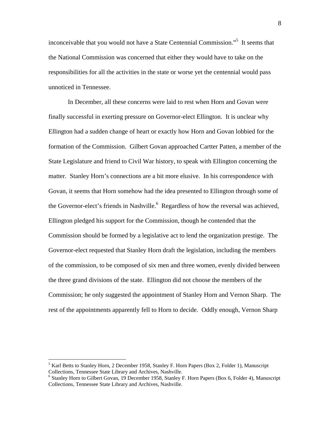inconceivable that you would not have a State Centennial Commission."5 It seems that the National Commission was concerned that either they would have to take on the responsibilities for all the activities in the state or worse yet the centennial would pass unnoticed in Tennessee.

 In December, all these concerns were laid to rest when Horn and Govan were finally successful in exerting pressure on Governor-elect Ellington. It is unclear why Ellington had a sudden change of heart or exactly how Horn and Govan lobbied for the formation of the Commission. Gilbert Govan approached Cartter Patten, a member of the State Legislature and friend to Civil War history, to speak with Ellington concerning the matter. Stanley Horn's connections are a bit more elusive. In his correspondence with Govan, it seems that Horn somehow had the idea presented to Ellington through some of the Governor-elect's friends in Nashville.<sup>6</sup> Regardless of how the reversal was achieved, Ellington pledged his support for the Commission, though he contended that the Commission should be formed by a legislative act to lend the organization prestige. The Governor-elect requested that Stanley Horn draft the legislation, including the members of the commission, to be composed of six men and three women, evenly divided between the three grand divisions of the state. Ellington did not choose the members of the Commission; he only suggested the appointment of Stanley Horn and Vernon Sharp. The rest of the appointments apparently fell to Horn to decide. Oddly enough, Vernon Sharp

<sup>&</sup>lt;sup>5</sup> Karl Betts to Stanley Horn, 2 December 1958, Stanley F. Horn Papers (Box 2, Folder 1), Manuscript Collections, Tennessee State Library and Archives, Nashville. 6

<sup>&</sup>lt;sup>6</sup> Stanley Horn to Gilbert Govan, 19 December 1958, Stanley F. Horn Papers (Box 6, Folder 4), Manuscript Collections, Tennessee State Library and Archives, Nashville.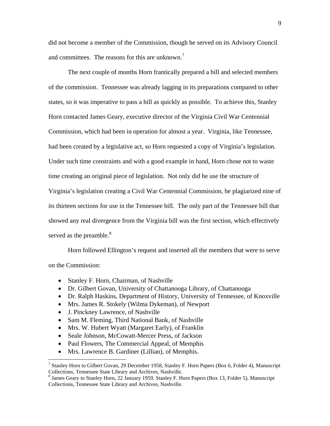did not become a member of the Commission, though he served on its Advisory Council and committees. The reasons for this are unknown.<sup>7</sup>

 The next couple of months Horn frantically prepared a bill and selected members of the commission. Tennessee was already lagging in its preparations compared to other states, so it was imperative to pass a bill as quickly as possible. To achieve this, Stanley Horn contacted James Geary, executive director of the Virginia Civil War Centennial Commission, which had been in operation for almost a year. Virginia, like Tennessee, had been created by a legislative act, so Horn requested a copy of Virginia's legislation. Under such time constraints and with a good example in hand, Horn chose not to waste time creating an original piece of legislation. Not only did he use the structure of Virginia's legislation creating a Civil War Centennial Commission, he plagiarized nine of its thirteen sections for use in the Tennessee bill. The only part of the Tennessee bill that showed any real divergence from the Virginia bill was the first section, which effectively served as the preamble. $8<sup>8</sup>$ 

Horn followed Ellington's request and inserted all the members that were to serve on the Commission:

- Stanley F. Horn, Chairman, of Nashville
- Dr. Gilbert Govan, University of Chattanooga Library, of Chattanooga
- Dr. Ralph Haskins, Department of History, University of Tennessee, of Knoxville
- Mrs. James R. Stokely (Wilma Dykeman), of Newport
- J. Pinckney Lawrence, of Nashville
- Sam M. Fleming, Third National Bank, of Nashville
- Mrs. W. Hubert Wyatt (Margaret Early), of Franklin
- Seale Johnson, McCowatt-Mercer Press, of Jackson
- Paul Flowers, The Commercial Appeal, of Memphis
- Mrs. Lawrence B. Gardiner (Lillian), of Memphis.

 7 Stanley Horn to Gilbert Govan, 29 December 1958, Stanley F. Horn Papers (Box 6, Folder 4), Manuscript Collections, Tennessee State Library and Archives, Nashville. 8

<sup>&</sup>lt;sup>8</sup> James Geary to Stanley Horn, 22 January 1959, Stanley F. Horn Papers (Box 13, Folder 5), Manuscript Collections, Tennessee State Library and Archives, Nashville.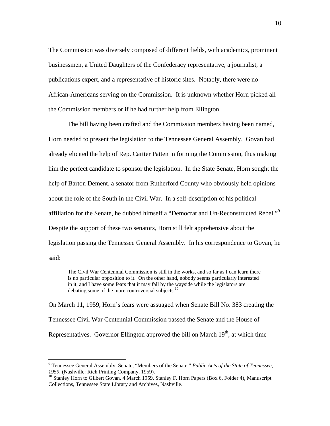The Commission was diversely composed of different fields, with academics, prominent businessmen, a United Daughters of the Confederacy representative, a journalist, a publications expert, and a representative of historic sites. Notably, there were no African-Americans serving on the Commission. It is unknown whether Horn picked all the Commission members or if he had further help from Ellington.

 The bill having been crafted and the Commission members having been named, Horn needed to present the legislation to the Tennessee General Assembly. Govan had already elicited the help of Rep. Cartter Patten in forming the Commission, thus making him the perfect candidate to sponsor the legislation. In the State Senate, Horn sought the help of Barton Dement, a senator from Rutherford County who obviously held opinions about the role of the South in the Civil War. In a self-description of his political affiliation for the Senate, he dubbed himself a "Democrat and Un-Reconstructed Rebel."<sup>9</sup> Despite the support of these two senators, Horn still felt apprehensive about the legislation passing the Tennessee General Assembly. In his correspondence to Govan, he said:

The Civil War Centennial Commission is still in the works, and so far as I can learn there is no particular opposition to it. On the other hand, nobody seems particularly interested in it, and I have some fears that it may fall by the wayside while the legislators are debating some of the more controversial subjects. $^{10}$ 

On March 11, 1959, Horn's fears were assuaged when Senate Bill No. 383 creating the Tennessee Civil War Centennial Commission passed the Senate and the House of Representatives. Governor Ellington approved the bill on March  $19<sup>th</sup>$ , at which time

<sup>9</sup> Tennessee General Assembly, Senate, "Members of the Senate," *Public Acts of the State of Tennessee*, *1959*, (Nashville: Rich Printing Company, 1959).<br><sup>10</sup> Stanley Horn to Gilbert Govan, 4 March 1959, Stanley F. Horn Papers (Box 6, Folder 4), Manuscript

Collections, Tennessee State Library and Archives, Nashville.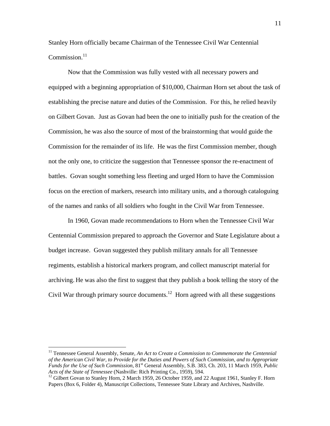Stanley Horn officially became Chairman of the Tennessee Civil War Centennial Commission. $^{11}$ 

 Now that the Commission was fully vested with all necessary powers and equipped with a beginning appropriation of \$10,000, Chairman Horn set about the task of establishing the precise nature and duties of the Commission. For this, he relied heavily on Gilbert Govan. Just as Govan had been the one to initially push for the creation of the Commission, he was also the source of most of the brainstorming that would guide the Commission for the remainder of its life. He was the first Commission member, though not the only one, to criticize the suggestion that Tennessee sponsor the re-enactment of battles. Govan sought something less fleeting and urged Horn to have the Commission focus on the erection of markers, research into military units, and a thorough cataloguing of the names and ranks of all soldiers who fought in the Civil War from Tennessee.

In 1960, Govan made recommendations to Horn when the Tennessee Civil War Centennial Commission prepared to approach the Governor and State Legislature about a budget increase. Govan suggested they publish military annals for all Tennessee regiments, establish a historical markers program, and collect manuscript material for archiving. He was also the first to suggest that they publish a book telling the story of the Civil War through primary source documents.<sup>12</sup> Horn agreed with all these suggestions

<sup>&</sup>lt;sup>11</sup> Tennessee General Assembly, Senate, *An Act to Create a Commission to Commemorate the Centennial of the American Civil War, to Provide for the Duties and Powers of Such Commission, and to Appropriate Funds for the Use of Such Commission*, 81st General Assembly, S.B. 383, Ch. 203, 11 March 1959, *Public Acts of the State of Tennessee* (Nashville: Rich Printing Co., 1959), 594.<br><sup>12</sup> Gilbert Govan to Stanley Horn, 2 March 1959, 26 October 1959, and 22 August 1961, Stanley F. Horn

Papers (Box 6, Folder 4), Manuscript Collections, Tennessee State Library and Archives, Nashville.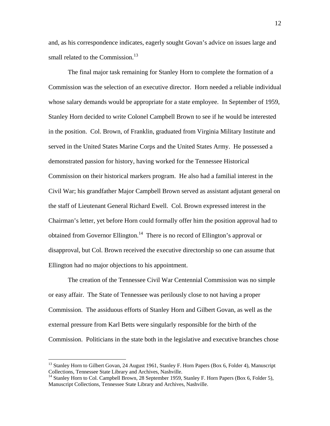and, as his correspondence indicates, eagerly sought Govan's advice on issues large and small related to the Commission.<sup>13</sup>

 The final major task remaining for Stanley Horn to complete the formation of a Commission was the selection of an executive director. Horn needed a reliable individual whose salary demands would be appropriate for a state employee. In September of 1959, Stanley Horn decided to write Colonel Campbell Brown to see if he would be interested in the position. Col. Brown, of Franklin, graduated from Virginia Military Institute and served in the United States Marine Corps and the United States Army. He possessed a demonstrated passion for history, having worked for the Tennessee Historical Commission on their historical markers program. He also had a familial interest in the Civil War; his grandfather Major Campbell Brown served as assistant adjutant general on the staff of Lieutenant General Richard Ewell. Col. Brown expressed interest in the Chairman's letter, yet before Horn could formally offer him the position approval had to obtained from Governor Ellington.<sup>14</sup> There is no record of Ellington's approval or disapproval, but Col. Brown received the executive directorship so one can assume that Ellington had no major objections to his appointment.

 The creation of the Tennessee Civil War Centennial Commission was no simple or easy affair. The State of Tennessee was perilously close to not having a proper Commission. The assiduous efforts of Stanley Horn and Gilbert Govan, as well as the external pressure from Karl Betts were singularly responsible for the birth of the Commission. Politicians in the state both in the legislative and executive branches chose

<u>.</u>

<sup>&</sup>lt;sup>13</sup> Stanley Horn to Gilbert Govan, 24 August 1961, Stanley F. Horn Papers (Box 6, Folder 4), Manuscript Collections, Tennessee State Library and Archives, Nashville.

<sup>&</sup>lt;sup>14</sup> Stanley Horn to Col. Campbell Brown, 28 September 1959, Stanley F. Horn Papers (Box 6, Folder 5), Manuscript Collections, Tennessee State Library and Archives, Nashville.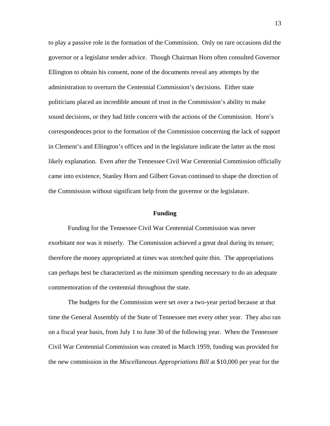to play a passive role in the formation of the Commission. Only on rare occasions did the governor or a legislator tender advice. Though Chairman Horn often consulted Governor Ellington to obtain his consent, none of the documents reveal any attempts by the administration to overturn the Centennial Commission's decisions. Either state politicians placed an incredible amount of trust in the Commission's ability to make sound decisions, or they had little concern with the actions of the Commission. Horn's correspondences prior to the formation of the Commission concerning the lack of support in Clement's and Ellington's offices and in the legislature indicate the latter as the most likely explanation. Even after the Tennessee Civil War Centennial Commission officially came into existence, Stanley Horn and Gilbert Govan continued to shape the direction of the Commission without significant help from the governor or the legislature.

### **Funding**

Funding for the Tennessee Civil War Centennial Commission was never exorbitant nor was it miserly. The Commission achieved a great deal during its tenure; therefore the money appropriated at times was stretched quite thin. The appropriations can perhaps best be characterized as the minimum spending necessary to do an adequate commemoration of the centennial throughout the state.

 The budgets for the Commission were set over a two-year period because at that time the General Assembly of the State of Tennessee met every other year. They also ran on a fiscal year basis, from July 1 to June 30 of the following year. When the Tennessee Civil War Centennial Commission was created in March 1959, funding was provided for the new commission in the *Miscellaneous Appropriations Bill* at \$10,000 per year for the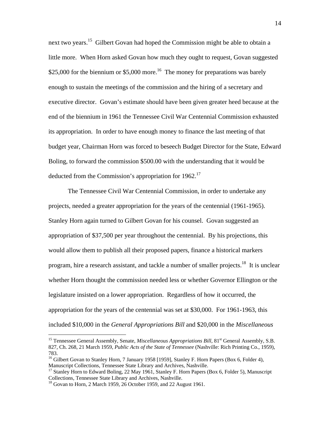next two years.<sup>15</sup> Gilbert Govan had hoped the Commission might be able to obtain a little more. When Horn asked Govan how much they ought to request, Govan suggested \$25,000 for the biennium or \$5,000 more.<sup>16</sup> The money for preparations was barely enough to sustain the meetings of the commission and the hiring of a secretary and executive director. Govan's estimate should have been given greater heed because at the end of the biennium in 1961 the Tennessee Civil War Centennial Commission exhausted its appropriation. In order to have enough money to finance the last meeting of that budget year, Chairman Horn was forced to beseech Budget Director for the State, Edward Boling, to forward the commission \$500.00 with the understanding that it would be deducted from the Commission's appropriation for  $1962$ <sup>17</sup>

 The Tennessee Civil War Centennial Commission, in order to undertake any projects, needed a greater appropriation for the years of the centennial (1961-1965). Stanley Horn again turned to Gilbert Govan for his counsel. Govan suggested an appropriation of \$37,500 per year throughout the centennial. By his projections, this would allow them to publish all their proposed papers, finance a historical markers program, hire a research assistant, and tackle a number of smaller projects.<sup>18</sup> It is unclear whether Horn thought the commission needed less or whether Governor Ellington or the legislature insisted on a lower appropriation. Regardless of how it occurred, the appropriation for the years of the centennial was set at \$30,000. For 1961-1963, this included \$10,000 in the *General Appropriations Bill* and \$20,000 in the *Miscellaneous* 

<sup>&</sup>lt;sup>15</sup> Tennessee General Assembly, Senate, *Miscellaneous Appropriations Bill*, 81<sup>st</sup> General Assembly, S.B. 827, Ch. 268, 21 March 1959, *Public Acts of the State of Tennessee* (Nashville: Rich Printing Co., 1959), 783.

<sup>&</sup>lt;sup>16</sup> Gilbert Govan to Stanley Horn, 7 January 1958 [1959], Stanley F. Horn Papers (Box 6, Folder 4),

Manuscript Collections, Tennessee State Library and Archives, Nashville.<br><sup>17</sup> Stanley Horn to Edward Boling, 22 May 1961, Stanley F. Horn Papers (Box 6, Folder 5), Manuscript<br>Collections, Tennessee State Library and Archiv

 $^{18}$  Govan to Horn, 2 March 1959, 26 October 1959, and 22 August 1961.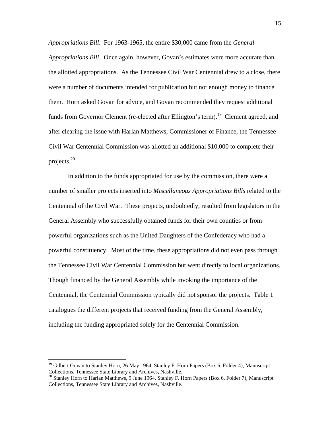*Appropriations Bill*. For 1963-1965, the entire \$30,000 came from the *General Appropriations Bill*. Once again, however, Govan's estimates were more accurate than the allotted appropriations. As the Tennessee Civil War Centennial drew to a close, there were a number of documents intended for publication but not enough money to finance them. Horn asked Govan for advice, and Govan recommended they request additional funds from Governor Clement (re-elected after Ellington's term).<sup>19</sup> Clement agreed, and after clearing the issue with Harlan Matthews, Commissioner of Finance, the Tennessee Civil War Centennial Commission was allotted an additional \$10,000 to complete their projects. $20$ 

In addition to the funds appropriated for use by the commission, there were a number of smaller projects inserted into *Miscellaneous Appropriations Bills* related to the Centennial of the Civil War. These projects, undoubtedly, resulted from legislators in the General Assembly who successfully obtained funds for their own counties or from powerful organizations such as the United Daughters of the Confederacy who had a powerful constituency. Most of the time, these appropriations did not even pass through the Tennessee Civil War Centennial Commission but went directly to local organizations. Though financed by the General Assembly while invoking the importance of the Centennial, the Centennial Commission typically did not sponsor the projects. Table 1 catalogues the different projects that received funding from the General Assembly, including the funding appropriated solely for the Centennial Commission.

<u>.</u>

<sup>&</sup>lt;sup>19</sup> Gilbert Govan to Stanley Horn, 26 May 1964, Stanley F. Horn Papers (Box 6, Folder 4), Manuscript Collections, Tennessee State Library and Archives, Nashville.<br><sup>20</sup> Stanley Horn to Harlan Matthews, 9 June 1964, Stanley F. Horn Papers (Box 6, Folder 7), Manuscript

Collections, Tennessee State Library and Archives, Nashville.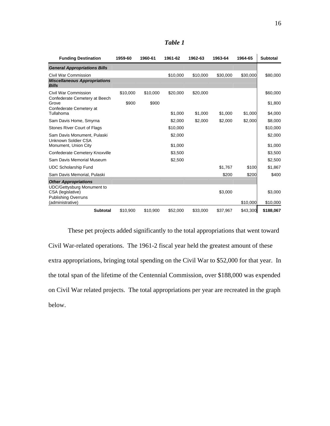| <b>Funding Destination</b>                                                  | 1959-60           | 1960-61           | 1961-62  | 1962-63  | 1963-64  | 1964-65  | <b>Subtotal</b>     |
|-----------------------------------------------------------------------------|-------------------|-------------------|----------|----------|----------|----------|---------------------|
| <b>General Appropriations Bills</b>                                         |                   |                   |          |          |          |          |                     |
| Civil War Commission<br><b>Miscellaneous Appropriations</b><br><b>Bills</b> |                   |                   | \$10,000 | \$10,000 | \$30,000 | \$30,000 | \$80,000            |
| Civil War Commission<br>Confederate Cemetery at Beech<br>Grove              | \$10.000<br>\$900 | \$10,000<br>\$900 | \$20,000 | \$20,000 |          |          | \$60,000<br>\$1,800 |
| Confederate Cemetery at<br>Tullahoma                                        |                   |                   | \$1,000  | \$1,000  | \$1,000  | \$1,000  | \$4,000             |
| Sam Davis Home, Smyrna                                                      |                   |                   | \$2,000  | \$2,000  | \$2,000  | \$2,000  | \$8,000             |
| Stones River Court of Flags                                                 |                   |                   | \$10,000 |          |          |          | \$10,000            |
| Sam Davis Monument, Pulaski<br>Unknown Soldier CSA                          |                   |                   | \$2,000  |          |          |          | \$2,000             |
| Monument, Union City                                                        |                   |                   | \$1,000  |          |          |          | \$1,000             |
| <b>Confederate Cemetery Knoxville</b>                                       |                   |                   | \$3,500  |          |          |          | \$3,500             |
| Sam Davis Memorial Museum                                                   |                   |                   | \$2,500  |          |          |          | \$2,500             |
| <b>UDC Scholarship Fund</b>                                                 |                   |                   |          |          | \$1,767  | \$100    | \$1,867             |
| Sam Davis Memorial, Pulaski                                                 |                   |                   |          |          | \$200    | \$200    | \$400               |
| <b>Other Appropriations</b><br><b>UDC/Gettysburg Monument to</b>            |                   |                   |          |          |          |          |                     |
| CSA (legislative)<br><b>Publishing Overruns</b>                             |                   |                   |          |          | \$3,000  |          | \$3,000             |
| (administrative)                                                            |                   |                   |          |          |          | \$10,000 | \$10,000            |
| <b>Subtotal</b>                                                             | \$10,900          | \$10,900          | \$52,000 | \$33,000 | \$37,967 | \$43,300 | \$188,067           |

*Table 1* 

These pet projects added significantly to the total appropriations that went toward Civil War-related operations. The 1961-2 fiscal year held the greatest amount of these extra appropriations, bringing total spending on the Civil War to \$52,000 for that year. In the total span of the lifetime of the Centennial Commission, over \$188,000 was expended on Civil War related projects. The total appropriations per year are recreated in the graph below.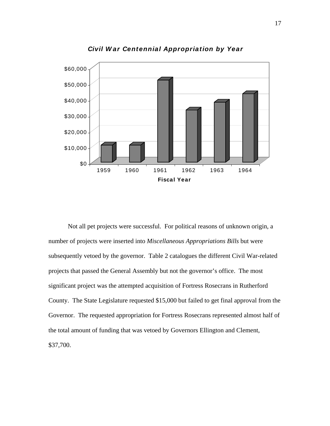

*Civil W ar Centennial Appropriation by Year*

 Not all pet projects were successful. For political reasons of unknown origin, a number of projects were inserted into *Miscellaneous Appropriations Bills* but were subsequently vetoed by the governor. Table 2 catalogues the different Civil War-related projects that passed the General Assembly but not the governor's office. The most significant project was the attempted acquisition of Fortress Rosecrans in Rutherford County. The State Legislature requested \$15,000 but failed to get final approval from the Governor. The requested appropriation for Fortress Rosecrans represented almost half of the total amount of funding that was vetoed by Governors Ellington and Clement, \$37,700.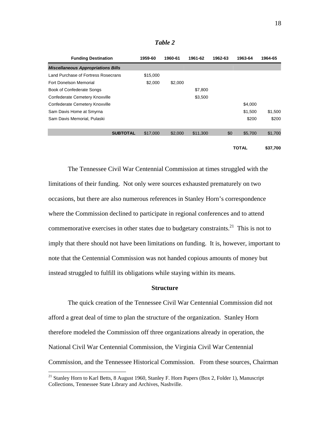| anu<br>Ω |  |
|----------|--|
|----------|--|

| <b>Funding Destination</b>                | 1959-60  | 1960-61 | 1961-62  | 1962-63 | 1963-64      | 1964-65  |
|-------------------------------------------|----------|---------|----------|---------|--------------|----------|
| <b>Miscellaneous Appropriations Bills</b> |          |         |          |         |              |          |
| Land Purchase of Fortress Rosecrans       | \$15,000 |         |          |         |              |          |
| Fort Donelson Memorial                    | \$2,000  | \$2,000 |          |         |              |          |
| <b>Book of Confederate Songs</b>          |          |         | \$7,800  |         |              |          |
| <b>Confederate Cemetery Knoxville</b>     |          |         | \$3,500  |         |              |          |
| Confederate Cemetery Knoxville            |          |         |          |         | \$4,000      |          |
| Sam Davis Home at Smyrna                  |          |         |          |         | \$1,500      | \$1,500  |
| Sam Davis Memorial, Pulaski               |          |         |          |         | \$200        | \$200    |
| <b>SUBTOTAL</b>                           | \$17,000 | \$2,000 | \$11,300 | \$0     | \$5,700      | \$1,700  |
|                                           |          |         |          |         | <b>TOTAL</b> | \$37,700 |

 The Tennessee Civil War Centennial Commission at times struggled with the limitations of their funding. Not only were sources exhausted prematurely on two occasions, but there are also numerous references in Stanley Horn's correspondence where the Commission declined to participate in regional conferences and to attend commemorative exercises in other states due to budgetary constraints.<sup>21</sup> This is not to imply that there should not have been limitations on funding. It is, however, important to note that the Centennial Commission was not handed copious amounts of money but instead struggled to fulfill its obligations while staying within its means.

### **Structure**

 The quick creation of the Tennessee Civil War Centennial Commission did not afford a great deal of time to plan the structure of the organization. Stanley Horn therefore modeled the Commission off three organizations already in operation, the National Civil War Centennial Commission, the Virginia Civil War Centennial Commission, and the Tennessee Historical Commission. From these sources, Chairman

<sup>&</sup>lt;sup>21</sup> Stanley Horn to Karl Betts, 8 August 1960, Stanley F. Horn Papers (Box 2, Folder 1), Manuscript Collections, Tennessee State Library and Archives, Nashville.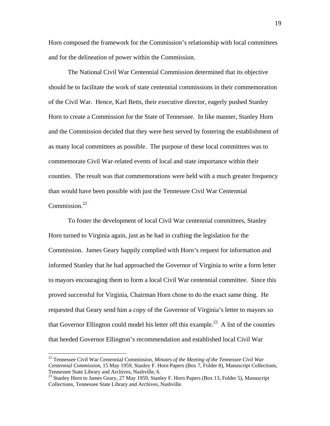Horn composed the framework for the Commission's relationship with local committees and for the delineation of power within the Commission.

 The National Civil War Centennial Commission determined that its objective should be to facilitate the work of state centennial commissions in their commemoration of the Civil War. Hence, Karl Betts, their executive director, eagerly pushed Stanley Horn to create a Commission for the State of Tennessee. In like manner, Stanley Horn and the Commission decided that they were best served by fostering the establishment of as many local committees as possible. The purpose of these local committees was to commemorate Civil War-related events of local and state importance within their counties. The result was that commemorations were held with a much greater frequency than would have been possible with just the Tennessee Civil War Centennial Commission.<sup>22</sup>

 To foster the development of local Civil War centennial committees, Stanley Horn turned to Virginia again, just as he had in crafting the legislation for the Commission. James Geary happily complied with Horn's request for information and informed Stanley that he had approached the Governor of Virginia to write a form letter to mayors encouraging them to form a local Civil War centennial committee. Since this proved successful for Virginia, Chairman Horn chose to do the exact same thing. He requested that Geary send him a copy of the Governor of Virginia's letter to mayors so that Governor Ellington could model his letter off this example.<sup>23</sup> A list of the counties that heeded Governor Ellington's recommendation and established local Civil War

<sup>22</sup> Tennessee Civil War Centennial Commission, *Minutes of the Meeting of the Tennessee Civil War Centennial Commission*, 15 May 1959, Stanley F. Horn Papers (Box 7, Folder 8), Manuscript Collections, Tennessee State Library and Archives, Nashville, 6.

<sup>&</sup>lt;sup>23</sup> Stanley Horn to James Geary, 27 May 1959, Stanley F. Horn Papers (Box 13, Folder 5), Manuscript Collections, Tennessee State Library and Archives, Nashville.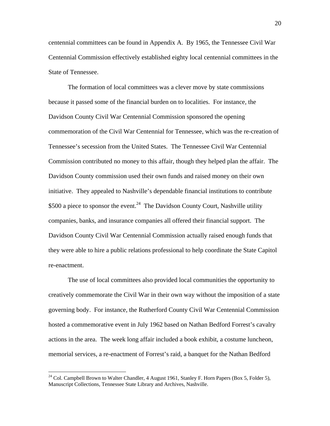centennial committees can be found in Appendix A. By 1965, the Tennessee Civil War Centennial Commission effectively established eighty local centennial committees in the State of Tennessee.

 The formation of local committees was a clever move by state commissions because it passed some of the financial burden on to localities. For instance, the Davidson County Civil War Centennial Commission sponsored the opening commemoration of the Civil War Centennial for Tennessee, which was the re-creation of Tennessee's secession from the United States. The Tennessee Civil War Centennial Commission contributed no money to this affair, though they helped plan the affair. The Davidson County commission used their own funds and raised money on their own initiative. They appealed to Nashville's dependable financial institutions to contribute \$500 a piece to sponsor the event.<sup>24</sup> The Davidson County Court, Nashville utility companies, banks, and insurance companies all offered their financial support. The Davidson County Civil War Centennial Commission actually raised enough funds that they were able to hire a public relations professional to help coordinate the State Capitol re-enactment.

 The use of local committees also provided local communities the opportunity to creatively commemorate the Civil War in their own way without the imposition of a state governing body. For instance, the Rutherford County Civil War Centennial Commission hosted a commemorative event in July 1962 based on Nathan Bedford Forrest's cavalry actions in the area. The week long affair included a book exhibit, a costume luncheon, memorial services, a re-enactment of Forrest's raid, a banquet for the Nathan Bedford

 $24$  Col. Campbell Brown to Walter Chandler, 4 August 1961, Stanley F. Horn Papers (Box 5, Folder 5), Manuscript Collections, Tennessee State Library and Archives, Nashville.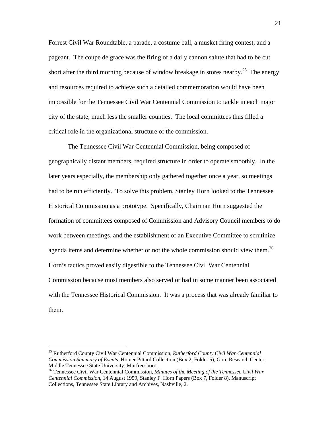Forrest Civil War Roundtable, a parade, a costume ball, a musket firing contest, and a pageant. The coupe de grace was the firing of a daily cannon salute that had to be cut short after the third morning because of window breakage in stores nearby.<sup>25</sup> The energy and resources required to achieve such a detailed commemoration would have been impossible for the Tennessee Civil War Centennial Commission to tackle in each major city of the state, much less the smaller counties. The local committees thus filled a critical role in the organizational structure of the commission.

 The Tennessee Civil War Centennial Commission, being composed of geographically distant members, required structure in order to operate smoothly. In the later years especially, the membership only gathered together once a year, so meetings had to be run efficiently. To solve this problem, Stanley Horn looked to the Tennessee Historical Commission as a prototype. Specifically, Chairman Horn suggested the formation of committees composed of Commission and Advisory Council members to do work between meetings, and the establishment of an Executive Committee to scrutinize agenda items and determine whether or not the whole commission should view them.<sup>26</sup> Horn's tactics proved easily digestible to the Tennessee Civil War Centennial Commission because most members also served or had in some manner been associated with the Tennessee Historical Commission. It was a process that was already familiar to them.

1

<sup>25</sup> Rutherford County Civil War Centennial Commission, *Rutherford County Civil War Centennial Commission Summary of Events*, Homer Pittard Collection (Box 2, Folder 5), Gore Research Center, Middle Tennessee State University, Murfreesboro. 26 Tennessee Civil War Centennial Commission, *Minutes of the Meeting of the Tennessee Civil War* 

*Centennial Commission*, 14 August 1959, Stanley F. Horn Papers (Box 7, Folder 8), Manuscript Collections, Tennessee State Library and Archives, Nashville, 2.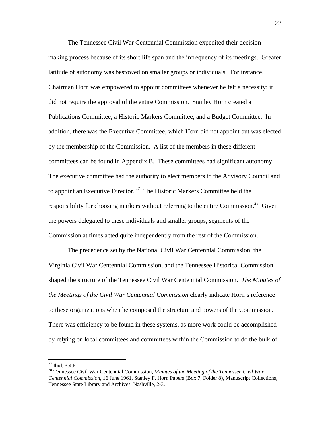The Tennessee Civil War Centennial Commission expedited their decisionmaking process because of its short life span and the infrequency of its meetings. Greater latitude of autonomy was bestowed on smaller groups or individuals. For instance, Chairman Horn was empowered to appoint committees whenever he felt a necessity; it did not require the approval of the entire Commission. Stanley Horn created a Publications Committee, a Historic Markers Committee, and a Budget Committee. In addition, there was the Executive Committee, which Horn did not appoint but was elected by the membership of the Commission. A list of the members in these different committees can be found in Appendix B. These committees had significant autonomy. The executive committee had the authority to elect members to the Advisory Council and to appoint an Executive Director.<sup>27</sup> The Historic Markers Committee held the responsibility for choosing markers without referring to the entire Commission.<sup>28</sup> Given the powers delegated to these individuals and smaller groups, segments of the Commission at times acted quite independently from the rest of the Commission.

 The precedence set by the National Civil War Centennial Commission, the Virginia Civil War Centennial Commission, and the Tennessee Historical Commission shaped the structure of the Tennessee Civil War Centennial Commission. *The Minutes of the Meetings of the Civil War Centennial Commission* clearly indicate Horn's reference to these organizations when he composed the structure and powers of the Commission. There was efficiency to be found in these systems, as more work could be accomplished by relying on local committees and committees within the Commission to do the bulk of

 $27$  Ibid, 3,4,6.

<sup>28</sup> Tennessee Civil War Centennial Commission, *Minutes of the Meeting of the Tennessee Civil War Centennial Commission*, 16 June 1961, Stanley F. Horn Papers (Box 7, Folder 8), Manuscript Collections, Tennessee State Library and Archives, Nashville, 2-3.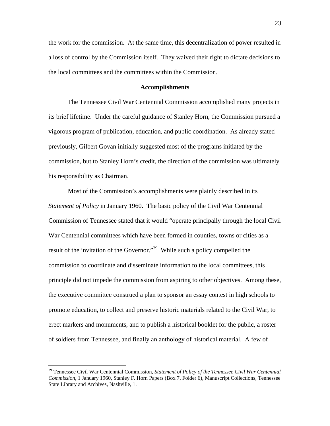the work for the commission. At the same time, this decentralization of power resulted in a loss of control by the Commission itself. They waived their right to dictate decisions to the local committees and the committees within the Commission.

### **Accomplishments**

 The Tennessee Civil War Centennial Commission accomplished many projects in its brief lifetime. Under the careful guidance of Stanley Horn, the Commission pursued a vigorous program of publication, education, and public coordination. As already stated previously, Gilbert Govan initially suggested most of the programs initiated by the commission, but to Stanley Horn's credit, the direction of the commission was ultimately his responsibility as Chairman.

 Most of the Commission's accomplishments were plainly described in its *Statement of Policy* in January 1960. The basic policy of the Civil War Centennial Commission of Tennessee stated that it would "operate principally through the local Civil War Centennial committees which have been formed in counties, towns or cities as a result of the invitation of the Governor."29 While such a policy compelled the commission to coordinate and disseminate information to the local committees, this principle did not impede the commission from aspiring to other objectives. Among these, the executive committee construed a plan to sponsor an essay contest in high schools to promote education, to collect and preserve historic materials related to the Civil War, to erect markers and monuments, and to publish a historical booklet for the public, a roster of soldiers from Tennessee, and finally an anthology of historical material. A few of

<sup>29</sup> Tennessee Civil War Centennial Commission, *Statement of Policy of the Tennessee Civil War Centennial Commission*, 1 January 1960, Stanley F. Horn Papers (Box 7, Folder 6), Manuscript Collections, Tennessee State Library and Archives, Nashville, 1.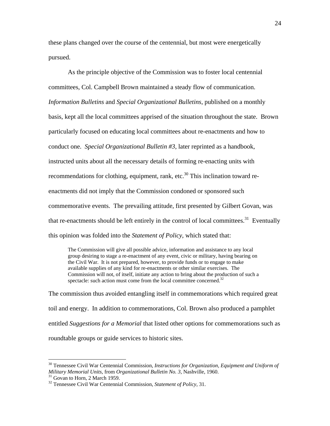these plans changed over the course of the centennial, but most were energetically pursued.

 As the principle objective of the Commission was to foster local centennial committees, Col. Campbell Brown maintained a steady flow of communication. *Information Bulletins* and *Special Organizational Bulletins*, published on a monthly basis, kept all the local committees apprised of the situation throughout the state. Brown particularly focused on educating local committees about re-enactments and how to conduct one. *Special Organizational Bulletin #3*, later reprinted as a handbook, instructed units about all the necessary details of forming re-enacting units with recommendations for clothing, equipment, rank, etc. $30$  This inclination toward reenactments did not imply that the Commission condoned or sponsored such commemorative events. The prevailing attitude, first presented by Gilbert Govan, was that re-enactments should be left entirely in the control of local committees.<sup>31</sup> Eventually this opinion was folded into the *Statement of Policy*, which stated that:

The Commission will give all possible advice, information and assistance to any local group desiring to stage a re-enactment of any event, civic or military, having bearing on the Civil War. It is not prepared, however, to provide funds or to engage to make available supplies of any kind for re-enactments or other similar exercises. The Commission will not, of itself, initiate any action to bring about the production of such a spectacle: such action must come from the local committee concerned. $32$ 

The commission thus avoided entangling itself in commemorations which required great toil and energy. In addition to commemorations, Col. Brown also produced a pamphlet entitled *Suggestions for a Memorial* that listed other options for commemorations such as roundtable groups or guide services to historic sites.

<u>.</u>

<sup>30</sup> Tennessee Civil War Centennial Commission, *Instructions for Organization, Equipment and Uniform of Military Memorial Units*, from *Organizational Bulletin No. 3*, Nashville, 1960. 31 Govan to Horn, 2 March 1959.

<sup>32</sup> Tennessee Civil War Centennial Commission, *Statement of Policy*, 31.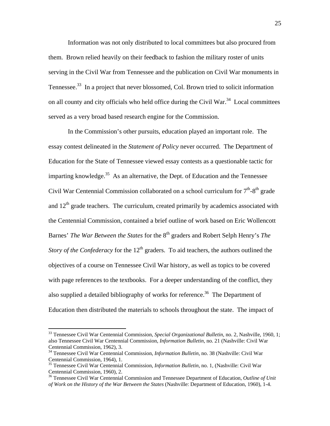Information was not only distributed to local committees but also procured from them. Brown relied heavily on their feedback to fashion the military roster of units serving in the Civil War from Tennessee and the publication on Civil War monuments in Tennessee.<sup>33</sup> In a project that never blossomed, Col. Brown tried to solicit information on all county and city officials who held office during the Civil War.<sup>34</sup> Local committees served as a very broad based research engine for the Commission.

 In the Commission's other pursuits, education played an important role. The essay contest delineated in the *Statement of Policy* never occurred. The Department of Education for the State of Tennessee viewed essay contests as a questionable tactic for imparting knowledge.<sup>35</sup> As an alternative, the Dept. of Education and the Tennessee Civil War Centennial Commission collaborated on a school curriculum for  $7<sup>th</sup>$ -8<sup>th</sup> grade and  $12<sup>th</sup>$  grade teachers. The curriculum, created primarily by academics associated with the Centennial Commission, contained a brief outline of work based on Eric Wollencott Barnes' *The War Between the States* for the 8<sup>th</sup> graders and Robert Selph Henry's *The Story of the Confederacy* for the  $12<sup>th</sup>$  graders. To aid teachers, the authors outlined the objectives of a course on Tennessee Civil War history, as well as topics to be covered with page references to the textbooks. For a deeper understanding of the conflict, they also supplied a detailed bibliography of works for reference.<sup>36</sup> The Department of Education then distributed the materials to schools throughout the state. The impact of

<sup>33</sup> Tennessee Civil War Centennial Commission, *Special Organizational Bulletin*, no. 2, Nashville, 1960, 1; also Tennessee Civil War Centennial Commission, *Information Bulletin*, no. 21 (Nashville: Civil War Centennial Commission, 1962), 3.

<sup>34</sup> Tennessee Civil War Centennial Commission, *Information Bulletin*, no. 38 (Nashville: Civil War Centennial Commission, 1964), 1.

<sup>35</sup> Tennessee Civil War Centennial Commission, *Information Bulletin*, no. 1, (Nashville: Civil War Centennial Commission, 1960), 2.

<sup>36</sup> Tennessee Civil War Centennial Commission and Tennessee Department of Education, *Outline of Unit of Work on the History of the War Between the States* (Nashville: Department of Education, 1960), 1-4.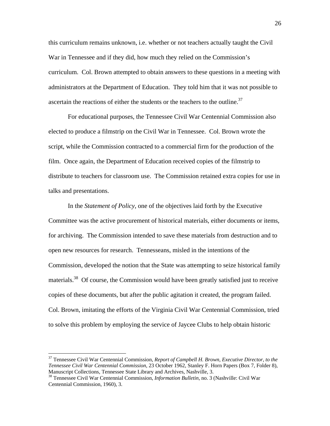this curriculum remains unknown, i.e. whether or not teachers actually taught the Civil War in Tennessee and if they did, how much they relied on the Commission's curriculum. Col. Brown attempted to obtain answers to these questions in a meeting with administrators at the Department of Education. They told him that it was not possible to ascertain the reactions of either the students or the teachers to the outline.<sup>37</sup>

 For educational purposes, the Tennessee Civil War Centennial Commission also elected to produce a filmstrip on the Civil War in Tennessee. Col. Brown wrote the script, while the Commission contracted to a commercial firm for the production of the film. Once again, the Department of Education received copies of the filmstrip to distribute to teachers for classroom use. The Commission retained extra copies for use in talks and presentations.

 In the *Statement of Policy*, one of the objectives laid forth by the Executive Committee was the active procurement of historical materials, either documents or items, for archiving. The Commission intended to save these materials from destruction and to open new resources for research. Tennesseans, misled in the intentions of the Commission, developed the notion that the State was attempting to seize historical family materials.<sup>38</sup> Of course, the Commission would have been greatly satisfied just to receive copies of these documents, but after the public agitation it created, the program failed. Col. Brown, imitating the efforts of the Virginia Civil War Centennial Commission, tried to solve this problem by employing the service of Jaycee Clubs to help obtain historic

<sup>37</sup> Tennessee Civil War Centennial Commission, *Report of Campbell H. Brown, Executive Director, to the Tennessee Civil War Centennial Commission*, 23 October 1962, Stanley F. Horn Papers (Box 7, Folder 8),

<sup>&</sup>lt;sup>38</sup> Tennessee Civil War Centennial Commission, *Information Bulletin*, no. 3 (Nashville: Civil War Centennial Commission, 1960), 3.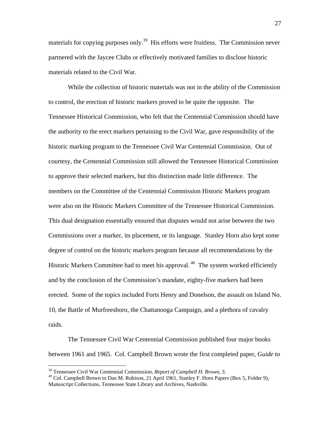materials for copying purposes only.<sup>39</sup> His efforts were fruitless. The Commission never partnered with the Jaycee Clubs or effectively motivated families to disclose historic materials related to the Civil War.

 While the collection of historic materials was not in the ability of the Commission to control, the erection of historic markers proved to be quite the opposite. The Tennessee Historical Commission, who felt that the Centennial Commission should have the authority to the erect markers pertaining to the Civil War, gave responsibility of the historic marking program to the Tennessee Civil War Centennial Commission. Out of courtesy, the Centennial Commission still allowed the Tennessee Historical Commission to approve their selected markers, but this distinction made little difference. The members on the Committee of the Centennial Commission Historic Markers program were also on the Historic Markers Committee of the Tennessee Historical Commission. This dual designation essentially ensured that disputes would not arise between the two Commissions over a marker, its placement, or its language. Stanley Horn also kept some degree of control on the historic markers program because all recommendations by the Historic Markers Committee had to meet his approval.<sup>40</sup> The system worked efficiently and by the conclusion of the Commission's mandate, eighty-five markers had been erected. Some of the topics included Forts Henry and Donelson, the assault on Island No. 10, the Battle of Murfreesboro, the Chattanooga Campaign, and a plethora of cavalry raids.

The Tennessee Civil War Centennial Commission published four major books between 1961 and 1965. Col. Campbell Brown wrote the first completed paper, *Guide to* 

<sup>&</sup>lt;sup>39</sup> Tennessee Civil War Centennial Commission, *Report of Campbell H. Brown*, 3.<br><sup>40</sup> Col. Campbell Brown to Dan M. Robison, 21 April 1961, Stanley F. Horn Papers (Box 5, Folder 9), Manuscript Collections, Tennessee State Library and Archives, Nashville.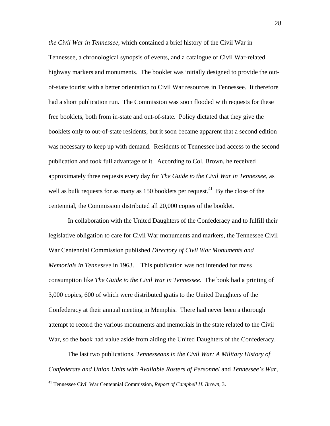*the Civil War in Tennessee*, which contained a brief history of the Civil War in Tennessee, a chronological synopsis of events, and a catalogue of Civil War-related highway markers and monuments. The booklet was initially designed to provide the outof-state tourist with a better orientation to Civil War resources in Tennessee. It therefore had a short publication run. The Commission was soon flooded with requests for these free booklets, both from in-state and out-of-state. Policy dictated that they give the booklets only to out-of-state residents, but it soon became apparent that a second edition was necessary to keep up with demand. Residents of Tennessee had access to the second publication and took full advantage of it. According to Col. Brown, he received approximately three requests every day for *The Guide to the Civil War in Tennessee*, as well as bulk requests for as many as  $150$  booklets per request.<sup>41</sup> By the close of the centennial, the Commission distributed all 20,000 copies of the booklet.

 In collaboration with the United Daughters of the Confederacy and to fulfill their legislative obligation to care for Civil War monuments and markers, the Tennessee Civil War Centennial Commission published *Directory of Civil War Monuments and Memorials in Tennessee* in 1963. This publication was not intended for mass consumption like *The Guide to the Civil War in Tennessee*. The book had a printing of 3,000 copies, 600 of which were distributed gratis to the United Daughters of the Confederacy at their annual meeting in Memphis. There had never been a thorough attempt to record the various monuments and memorials in the state related to the Civil War, so the book had value aside from aiding the United Daughters of the Confederacy.

 The last two publications, *Tennesseans in the Civil War: A Military History of Confederate and Union Units with Available Rosters of Personnel* and *Tennessee's War,* 

<sup>41</sup> Tennessee Civil War Centennial Commission, *Report of Campbell H. Brown*, 3.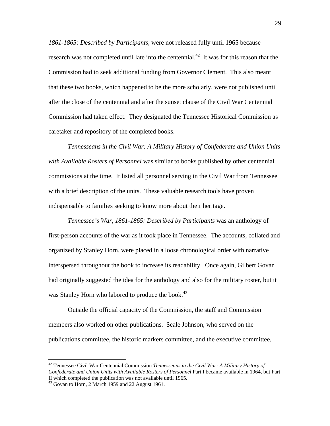*1861-1865: Described by Participants*, were not released fully until 1965 because research was not completed until late into the centennial.<sup>42</sup> It was for this reason that the Commission had to seek additional funding from Governor Clement. This also meant that these two books, which happened to be the more scholarly, were not published until after the close of the centennial and after the sunset clause of the Civil War Centennial Commission had taken effect. They designated the Tennessee Historical Commission as caretaker and repository of the completed books.

*Tennesseans in the Civil War: A Military History of Confederate and Union Units with Available Rosters of Personnel* was similar to books published by other centennial commissions at the time. It listed all personnel serving in the Civil War from Tennessee with a brief description of the units. These valuable research tools have proven indispensable to families seeking to know more about their heritage.

*Tennessee's War, 1861-1865: Described by Participants* was an anthology of first-person accounts of the war as it took place in Tennessee. The accounts, collated and organized by Stanley Horn, were placed in a loose chronological order with narrative interspersed throughout the book to increase its readability. Once again, Gilbert Govan had originally suggested the idea for the anthology and also for the military roster, but it was Stanley Horn who labored to produce the book.<sup>43</sup>

 Outside the official capacity of the Commission, the staff and Commission members also worked on other publications. Seale Johnson, who served on the publications committee, the historic markers committee, and the executive committee,

<sup>42</sup> Tennessee Civil War Centennial Commission *Tennesseans in the Civil War: A Military History of Confederate and Union Units with Available Rosters of Personnel* Part I became available in 1964, but Part II which completed the publication was not available until 1965.

<sup>&</sup>lt;sup>43</sup> Govan to Horn, 2 March 1959 and 22 August 1961.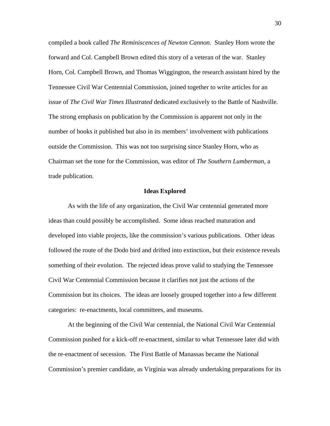compiled a book called *The Reminiscences of Newton Cannon*. Stanley Horn wrote the forward and Col. Campbell Brown edited this story of a veteran of the war. Stanley Horn, Col. Campbell Brown, and Thomas Wiggington, the research assistant hired by the Tennessee Civil War Centennial Commission, joined together to write articles for an issue of *The Civil War Times Illustrated* dedicated exclusively to the Battle of Nashville. The strong emphasis on publication by the Commission is apparent not only in the number of books it published but also in its members' involvement with publications outside the Commission. This was not too surprising since Stanley Horn, who as Chairman set the tone for the Commission, was editor of *The Southern Lumberman*, a trade publication.

#### **Ideas Explored**

 As with the life of any organization, the Civil War centennial generated more ideas than could possibly be accomplished. Some ideas reached maturation and developed into viable projects, like the commission's various publications. Other ideas followed the route of the Dodo bird and drifted into extinction, but their existence reveals something of their evolution. The rejected ideas prove valid to studying the Tennessee Civil War Centennial Commission because it clarifies not just the actions of the Commission but its choices. The ideas are loosely grouped together into a few different categories: re-enactments, local committees, and museums.

 At the beginning of the Civil War centennial, the National Civil War Centennial Commission pushed for a kick-off re-enactment, similar to what Tennessee later did with the re-enactment of secession. The First Battle of Manassas became the National Commission's premier candidate, as Virginia was already undertaking preparations for its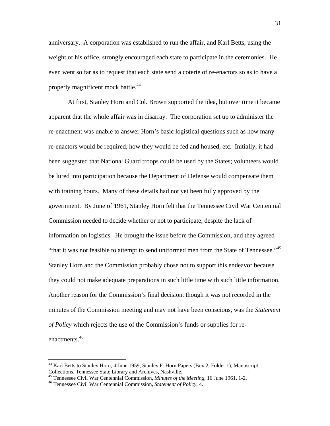anniversary. A corporation was established to run the affair, and Karl Betts, using the weight of his office, strongly encouraged each state to participate in the ceremonies. He even went so far as to request that each state send a coterie of re-enactors so as to have a properly magnificent mock battle.<sup>44</sup>

At first, Stanley Horn and Col. Brown supported the idea, but over time it became apparent that the whole affair was in disarray. The corporation set up to administer the re-enactment was unable to answer Horn's basic logistical questions such as how many re-enactors would be required, how they would be fed and housed, etc. Initially, it had been suggested that National Guard troops could be used by the States; volunteers would be lured into participation because the Department of Defense would compensate them with training hours. Many of these details had not yet been fully approved by the government. By June of 1961, Stanley Horn felt that the Tennessee Civil War Centennial Commission needed to decide whether or not to participate, despite the lack of information on logistics. He brought the issue before the Commission, and they agreed "that it was not feasible to attempt to send uniformed men from the State of Tennessee."<sup>45</sup> Stanley Horn and the Commission probably chose not to support this endeavor because they could not make adequate preparations in such little time with such little information. Another reason for the Commission's final decision, though it was not recorded in the minutes of the Commission meeting and may not have been conscious, was the *Statement of Policy* which rejects the use of the Commission's funds or supplies for reenactments.<sup>46</sup>

<u>.</u>

 $44$  Karl Betts to Stanley Horn, 4 June 1959, Stanley F. Horn Papers (Box 2, Folder 1), Manuscript Collections, Tennessee State Library and Archives, Nashville.

<sup>&</sup>lt;sup>45</sup> Tennessee Civil War Centennial Commission, *Minutes of the Meeting*, 16 June 1961, 1-2.<br><sup>46</sup> Tennessee Civil War Centennial Commission, *Statement of Policy*, 4.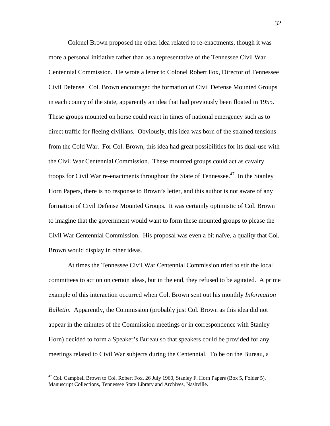Colonel Brown proposed the other idea related to re-enactments, though it was more a personal initiative rather than as a representative of the Tennessee Civil War Centennial Commission. He wrote a letter to Colonel Robert Fox, Director of Tennessee Civil Defense. Col. Brown encouraged the formation of Civil Defense Mounted Groups in each county of the state, apparently an idea that had previously been floated in 1955. These groups mounted on horse could react in times of national emergency such as to direct traffic for fleeing civilians. Obviously, this idea was born of the strained tensions from the Cold War. For Col. Brown, this idea had great possibilities for its dual-use with the Civil War Centennial Commission. These mounted groups could act as cavalry troops for Civil War re-enactments throughout the State of Tennessee.<sup>47</sup> In the Stanley Horn Papers, there is no response to Brown's letter, and this author is not aware of any formation of Civil Defense Mounted Groups. It was certainly optimistic of Col. Brown to imagine that the government would want to form these mounted groups to please the Civil War Centennial Commission. His proposal was even a bit naïve, a quality that Col. Brown would display in other ideas.

 At times the Tennessee Civil War Centennial Commission tried to stir the local committees to action on certain ideas, but in the end, they refused to be agitated. A prime example of this interaction occurred when Col. Brown sent out his monthly *Information Bulletin*. Apparently, the Commission (probably just Col. Brown as this idea did not appear in the minutes of the Commission meetings or in correspondence with Stanley Horn) decided to form a Speaker's Bureau so that speakers could be provided for any meetings related to Civil War subjects during the Centennial. To be on the Bureau, a

 $^{47}$  Col. Campbell Brown to Col. Robert Fox, 26 July 1960, Stanley F. Horn Papers (Box 5, Folder 5), Manuscript Collections, Tennessee State Library and Archives, Nashville.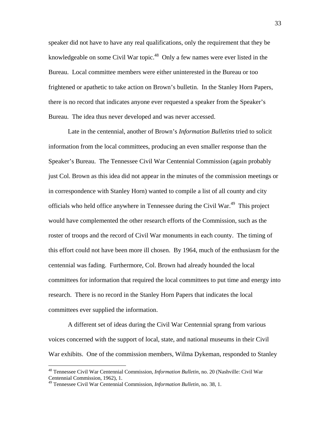speaker did not have to have any real qualifications, only the requirement that they be knowledgeable on some Civil War topic.<sup>48</sup> Only a few names were ever listed in the Bureau. Local committee members were either uninterested in the Bureau or too frightened or apathetic to take action on Brown's bulletin. In the Stanley Horn Papers, there is no record that indicates anyone ever requested a speaker from the Speaker's Bureau. The idea thus never developed and was never accessed.

 Late in the centennial, another of Brown's *Information Bulletins* tried to solicit information from the local committees, producing an even smaller response than the Speaker's Bureau. The Tennessee Civil War Centennial Commission (again probably just Col. Brown as this idea did not appear in the minutes of the commission meetings or in correspondence with Stanley Horn) wanted to compile a list of all county and city officials who held office anywhere in Tennessee during the Civil War.<sup>49</sup> This project would have complemented the other research efforts of the Commission, such as the roster of troops and the record of Civil War monuments in each county. The timing of this effort could not have been more ill chosen. By 1964, much of the enthusiasm for the centennial was fading. Furthermore, Col. Brown had already hounded the local committees for information that required the local committees to put time and energy into research. There is no record in the Stanley Horn Papers that indicates the local committees ever supplied the information.

 A different set of ideas during the Civil War Centennial sprang from various voices concerned with the support of local, state, and national museums in their Civil War exhibits. One of the commission members, Wilma Dykeman, responded to Stanley

<sup>48</sup> Tennessee Civil War Centennial Commission, *Information Bulletin*, no. 20 (Nashville: Civil War Centennial Commission, 1962), 1.

<sup>49</sup> Tennessee Civil War Centennial Commission, *Information Bulletin*, no. 38, 1.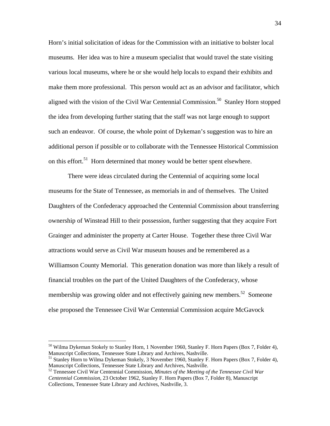Horn's initial solicitation of ideas for the Commission with an initiative to bolster local museums. Her idea was to hire a museum specialist that would travel the state visiting various local museums, where he or she would help locals to expand their exhibits and make them more professional. This person would act as an advisor and facilitator, which aligned with the vision of the Civil War Centennial Commission.<sup>50</sup> Stanley Horn stopped the idea from developing further stating that the staff was not large enough to support such an endeavor. Of course, the whole point of Dykeman's suggestion was to hire an additional person if possible or to collaborate with the Tennessee Historical Commission on this effort.<sup>51</sup> Horn determined that money would be better spent elsewhere.

 There were ideas circulated during the Centennial of acquiring some local museums for the State of Tennessee, as memorials in and of themselves. The United Daughters of the Confederacy approached the Centennial Commission about transferring ownership of Winstead Hill to their possession, further suggesting that they acquire Fort Grainger and administer the property at Carter House. Together these three Civil War attractions would serve as Civil War museum houses and be remembered as a Williamson County Memorial. This generation donation was more than likely a result of financial troubles on the part of the United Daughters of the Confederacy, whose membership was growing older and not effectively gaining new members.<sup>52</sup> Someone else proposed the Tennessee Civil War Centennial Commission acquire McGavock

 $50$  Wilma Dykeman Stokely to Stanley Horn, 1 November 1960, Stanley F. Horn Papers (Box 7, Folder 4), Manuscript Collections, Tennessee State Library and Archives, Nashville.

<sup>&</sup>lt;sup>51</sup> Stanley Horn to Wilma Dykeman Stokely, 3 November 1960, Stanley F. Horn Papers (Box 7, Folder 4), Manuscript Collections, Tennessee State Library and Archives, Nashville.

<sup>&</sup>lt;sup>52</sup> Tennessee Civil War Centennial Commission, Minutes of the Meeting of the Tennessee Civil War *Centennial Commission*, 23 October 1962, Stanley F. Horn Papers (Box 7, Folder 8), Manuscript Collections, Tennessee State Library and Archives, Nashville, 3.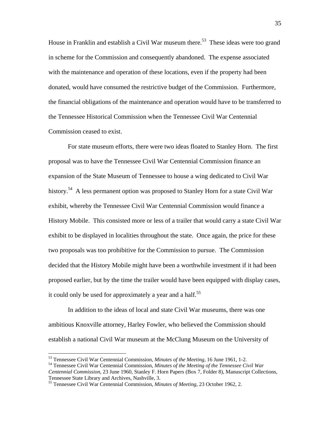House in Franklin and establish a Civil War museum there.<sup>53</sup> These ideas were too grand in scheme for the Commission and consequently abandoned. The expense associated with the maintenance and operation of these locations, even if the property had been donated, would have consumed the restrictive budget of the Commission. Furthermore, the financial obligations of the maintenance and operation would have to be transferred to the Tennessee Historical Commission when the Tennessee Civil War Centennial Commission ceased to exist.

For state museum efforts, there were two ideas floated to Stanley Horn. The first proposal was to have the Tennessee Civil War Centennial Commission finance an expansion of the State Museum of Tennessee to house a wing dedicated to Civil War history.<sup>54</sup> A less permanent option was proposed to Stanley Horn for a state Civil War exhibit, whereby the Tennessee Civil War Centennial Commission would finance a History Mobile. This consisted more or less of a trailer that would carry a state Civil War exhibit to be displayed in localities throughout the state. Once again, the price for these two proposals was too prohibitive for the Commission to pursue. The Commission decided that the History Mobile might have been a worthwhile investment if it had been proposed earlier, but by the time the trailer would have been equipped with display cases, it could only be used for approximately a year and a half.<sup>55</sup>

In addition to the ideas of local and state Civil War museums, there was one ambitious Knoxville attorney, Harley Fowler, who believed the Commission should establish a national Civil War museum at the McClung Museum on the University of

<sup>&</sup>lt;sup>53</sup> Tennessee Civil War Centennial Commission, *Minutes of the Meeting*, 16 June 1961, 1-2.<br><sup>54</sup> Tennessee Civil War Centennial Commission, *Minutes of the Meeting of the Tennessee Civil War* 

*Centennial Commission*, 23 June 1960, Stanley F. Horn Papers (Box 7, Folder 8), Manuscript Collections, Tennessee State Library and Archives, Nashville, 3.

<sup>55</sup> Tennessee Civil War Centennial Commission, *Minutes of Meeting*, 23 October 1962, 2.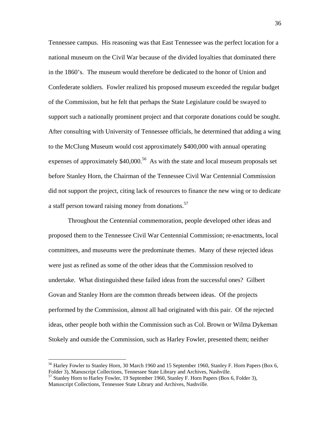Tennessee campus. His reasoning was that East Tennessee was the perfect location for a national museum on the Civil War because of the divided loyalties that dominated there in the 1860's. The museum would therefore be dedicated to the honor of Union and Confederate soldiers. Fowler realized his proposed museum exceeded the regular budget of the Commission, but he felt that perhaps the State Legislature could be swayed to support such a nationally prominent project and that corporate donations could be sought. After consulting with University of Tennessee officials, he determined that adding a wing to the McClung Museum would cost approximately \$400,000 with annual operating expenses of approximately  $$40,000$ <sup>56</sup> As with the state and local museum proposals set before Stanley Horn, the Chairman of the Tennessee Civil War Centennial Commission did not support the project, citing lack of resources to finance the new wing or to dedicate a staff person toward raising money from donations.<sup>57</sup>

Throughout the Centennial commemoration, people developed other ideas and proposed them to the Tennessee Civil War Centennial Commission; re-enactments, local committees, and museums were the predominate themes. Many of these rejected ideas were just as refined as some of the other ideas that the Commission resolved to undertake. What distinguished these failed ideas from the successful ones? Gilbert Govan and Stanley Horn are the common threads between ideas. Of the projects performed by the Commission, almost all had originated with this pair. Of the rejected ideas, other people both within the Commission such as Col. Brown or Wilma Dykeman Stokely and outside the Commission, such as Harley Fowler, presented them; neither

<u>.</u>

<sup>&</sup>lt;sup>56</sup> Harley Fowler to Stanley Horn, 30 March 1960 and 15 September 1960, Stanley F. Horn Papers (Box 6, Folder 3), Manuscript Collections, Tennessee State Library and Archives, Nashville.

<sup>57</sup> Stanley Horn to Harley Fowler, 19 September 1960, Stanley F. Horn Papers (Box 6, Folder 3), Manuscript Collections, Tennessee State Library and Archives, Nashville.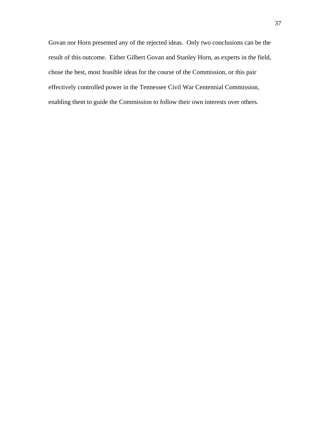Govan nor Horn presented any of the rejected ideas. Only two conclusions can be the result of this outcome. Either Gilbert Govan and Stanley Horn, as experts in the field, chose the best, most feasible ideas for the course of the Commission, or this pair effectively controlled power in the Tennessee Civil War Centennial Commission, enabling them to guide the Commission to follow their own interests over others.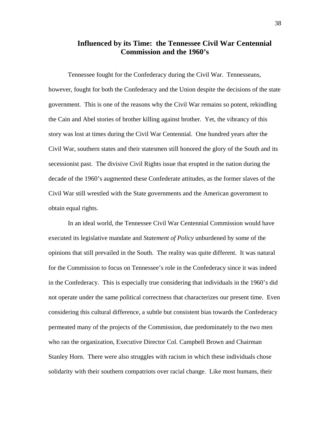# **Influenced by its Time: the Tennessee Civil War Centennial Commission and the 1960's**

Tennessee fought for the Confederacy during the Civil War. Tennesseans, however, fought for both the Confederacy and the Union despite the decisions of the state government. This is one of the reasons why the Civil War remains so potent, rekindling the Cain and Abel stories of brother killing against brother. Yet, the vibrancy of this story was lost at times during the Civil War Centennial. One hundred years after the Civil War, southern states and their statesmen still honored the glory of the South and its secessionist past. The divisive Civil Rights issue that erupted in the nation during the decade of the 1960's augmented these Confederate attitudes, as the former slaves of the Civil War still wrestled with the State governments and the American government to obtain equal rights.

 In an ideal world, the Tennessee Civil War Centennial Commission would have executed its legislative mandate and *Statement of Policy* unburdened by some of the opinions that still prevailed in the South. The reality was quite different. It was natural for the Commission to focus on Tennessee's role in the Confederacy since it was indeed in the Confederacy. This is especially true considering that individuals in the 1960's did not operate under the same political correctness that characterizes our present time. Even considering this cultural difference, a subtle but consistent bias towards the Confederacy permeated many of the projects of the Commission, due predominately to the two men who ran the organization, Executive Director Col. Campbell Brown and Chairman Stanley Horn. There were also struggles with racism in which these individuals chose solidarity with their southern compatriots over racial change. Like most humans, their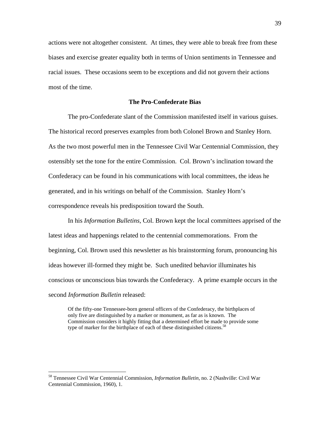actions were not altogether consistent. At times, they were able to break free from these biases and exercise greater equality both in terms of Union sentiments in Tennessee and racial issues. These occasions seem to be exceptions and did not govern their actions most of the time.

## **The Pro-Confederate Bias**

 The pro-Confederate slant of the Commission manifested itself in various guises. The historical record preserves examples from both Colonel Brown and Stanley Horn. As the two most powerful men in the Tennessee Civil War Centennial Commission, they ostensibly set the tone for the entire Commission. Col. Brown's inclination toward the Confederacy can be found in his communications with local committees, the ideas he generated, and in his writings on behalf of the Commission. Stanley Horn's correspondence reveals his predisposition toward the South.

 In his *Information Bulletins*, Col. Brown kept the local committees apprised of the latest ideas and happenings related to the centennial commemorations. From the beginning, Col. Brown used this newsletter as his brainstorming forum, pronouncing his ideas however ill-formed they might be. Such unedited behavior illuminates his conscious or unconscious bias towards the Confederacy. A prime example occurs in the second *Information Bulletin* released:

Of the fifty-one Tennessee-born general officers of the Confederacy, the birthplaces of only five are distinguished by a marker or monument, as far as is known. The Commission considers it highly fitting that a determined effort be made to provide some type of marker for the birthplace of each of these distinguished citizens.<sup>58</sup>

<sup>58</sup> Tennessee Civil War Centennial Commission, *Information Bulletin*, no. 2 (Nashville: Civil War Centennial Commission, 1960), 1.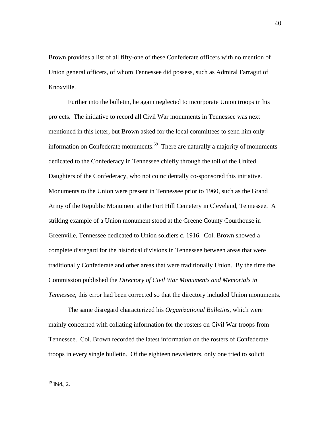Brown provides a list of all fifty-one of these Confederate officers with no mention of Union general officers, of whom Tennessee did possess, such as Admiral Farragut of Knoxville.

 Further into the bulletin, he again neglected to incorporate Union troops in his projects. The initiative to record all Civil War monuments in Tennessee was next mentioned in this letter, but Brown asked for the local committees to send him only information on Confederate monuments.<sup>59</sup> There are naturally a majority of monuments dedicated to the Confederacy in Tennessee chiefly through the toil of the United Daughters of the Confederacy, who not coincidentally co-sponsored this initiative. Monuments to the Union were present in Tennessee prior to 1960, such as the Grand Army of the Republic Monument at the Fort Hill Cemetery in Cleveland, Tennessee. A striking example of a Union monument stood at the Greene County Courthouse in Greenville, Tennessee dedicated to Union soldiers c. 1916. Col. Brown showed a complete disregard for the historical divisions in Tennessee between areas that were traditionally Confederate and other areas that were traditionally Union. By the time the Commission published the *Directory of Civil War Monuments and Memorials in Tennessee*, this error had been corrected so that the directory included Union monuments.

The same disregard characterized his *Organizational Bulletins*, which were mainly concerned with collating information for the rosters on Civil War troops from Tennessee. Col. Brown recorded the latest information on the rosters of Confederate troops in every single bulletin. Of the eighteen newsletters, only one tried to solicit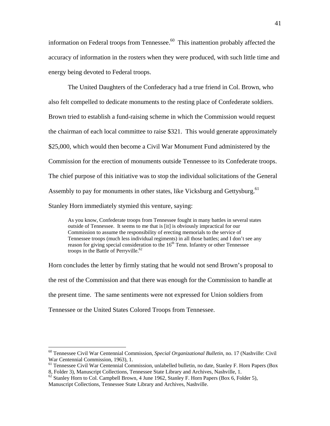information on Federal troops from Tennessee. $60$  This inattention probably affected the accuracy of information in the rosters when they were produced, with such little time and energy being devoted to Federal troops.

The United Daughters of the Confederacy had a true friend in Col. Brown, who also felt compelled to dedicate monuments to the resting place of Confederate soldiers. Brown tried to establish a fund-raising scheme in which the Commission would request the chairman of each local committee to raise \$321. This would generate approximately \$25,000, which would then become a Civil War Monument Fund administered by the Commission for the erection of monuments outside Tennessee to its Confederate troops. The chief purpose of this initiative was to stop the individual solicitations of the General Assembly to pay for monuments in other states, like Vicksburg and Gettysburg.<sup>61</sup> Stanley Horn immediately stymied this venture, saying:

As you know, Confederate troops from Tennessee fought in many battles in several states outside of Tennessee. It seems to me that is [it] is obviously impractical for our Commission to assume the responsibility of erecting memorials to the service of Tennessee troops (much less individual regiments) in all those battles; and I don't see any reason for giving special consideration to the  $16<sup>th</sup>$  Tenn. Infantry or other Tennessee troops in the Battle of Perryville. $62$ 

Horn concludes the letter by firmly stating that he would not send Brown's proposal to the rest of the Commission and that there was enough for the Commission to handle at the present time. The same sentiments were not expressed for Union soldiers from Tennessee or the United States Colored Troops from Tennessee.

<sup>60</sup> Tennessee Civil War Centennial Commission, *Special Organizational Bulletin*, no. 17 (Nashville: Civil War Centennial Commission, 1963), 1.

<sup>&</sup>lt;sup>61</sup> Tennessee Civil War Centennial Commission, unlabelled bulletin, no date, Stanley F. Horn Papers (Box 8, Folder 3), Manuscript Collections, Tennessee State Library and Archives, Nashville, 1.

 $62$  Stanley Horn to Col. Campbell Brown, 4 June 1962, Stanley F. Horn Papers (Box 6, Folder 5), Manuscript Collections, Tennessee State Library and Archives, Nashville.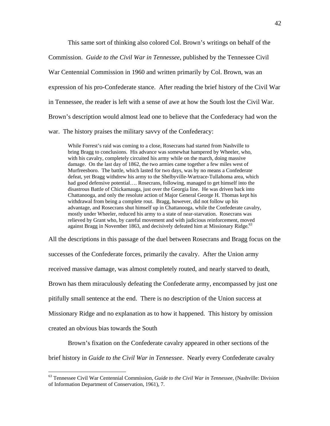This same sort of thinking also colored Col. Brown's writings on behalf of the

Commission. *Guide to the Civil War in Tennessee*, published by the Tennessee Civil

War Centennial Commission in 1960 and written primarily by Col. Brown, was an

expression of his pro-Confederate stance. After reading the brief history of the Civil War

in Tennessee, the reader is left with a sense of awe at how the South lost the Civil War.

Brown's description would almost lead one to believe that the Confederacy had won the

war. The history praises the military savvy of the Confederacy:

While Forrest's raid was coming to a close, Rosecrans had started from Nashville to bring Bragg to conclusions. His advance was somewhat hampered by Wheeler, who, with his cavalry, completely circuited his army while on the march, doing massive damage. On the last day of 1862, the two armies came together a few miles west of Murfreesboro. The battle, which lasted for two days, was by no means a Confederate defeat, yet Bragg withdrew his army to the Shelbyville-Wartrace-Tullahoma area, which had good defensive potential…. Rosecrans, following, managed to get himself into the disastrous Battle of Chickamauga, just over the Georgia line. He was driven back into Chattanooga, and only the resolute action of Major General George H. Thomas kept his withdrawal from being a complete rout. Bragg, however, did not follow up his advantage, and Rosecrans shut himself up in Chattanooga, while the Confederate cavalry, mostly under Wheeler, reduced his army to a state of near-starvation. Rosecrans was relieved by Grant who, by careful movement and with judicious reinforcement, moved against Bragg in November 1863, and decisively defeated him at Missionary Ridge.<sup>63</sup>

All the descriptions in this passage of the duel between Rosecrans and Bragg focus on the successes of the Confederate forces, primarily the cavalry. After the Union army received massive damage, was almost completely routed, and nearly starved to death, Brown has them miraculously defeating the Confederate army, encompassed by just one pitifully small sentence at the end. There is no description of the Union success at Missionary Ridge and no explanation as to how it happened. This history by omission created an obvious bias towards the South

Brown's fixation on the Confederate cavalry appeared in other sections of the brief history in *Guide to the Civil War in Tennessee*. Nearly every Confederate cavalry

<sup>63</sup> Tennessee Civil War Centennial Commission, *Guide to the Civil War in Tennessee,* (Nashville: Division of Information Department of Conservation, 1961), 7.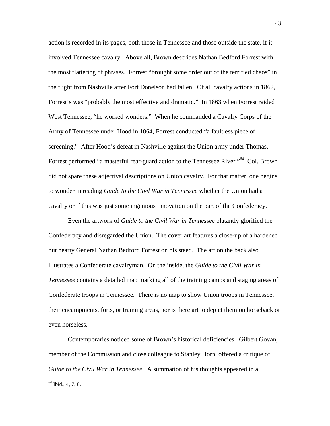action is recorded in its pages, both those in Tennessee and those outside the state, if it involved Tennessee cavalry. Above all, Brown describes Nathan Bedford Forrest with the most flattering of phrases. Forrest "brought some order out of the terrified chaos" in the flight from Nashville after Fort Donelson had fallen. Of all cavalry actions in 1862, Forrest's was "probably the most effective and dramatic." In 1863 when Forrest raided West Tennessee, "he worked wonders." When he commanded a Cavalry Corps of the Army of Tennessee under Hood in 1864, Forrest conducted "a faultless piece of screening." After Hood's defeat in Nashville against the Union army under Thomas, Forrest performed "a masterful rear-guard action to the Tennessee River."64 Col. Brown did not spare these adjectival descriptions on Union cavalry. For that matter, one begins to wonder in reading *Guide to the Civil War in Tennessee* whether the Union had a cavalry or if this was just some ingenious innovation on the part of the Confederacy.

 Even the artwork of *Guide to the Civil War in Tennessee* blatantly glorified the Confederacy and disregarded the Union. The cover art features a close-up of a hardened but hearty General Nathan Bedford Forrest on his steed. The art on the back also illustrates a Confederate cavalryman. On the inside, the *Guide to the Civil War in Tennessee* contains a detailed map marking all of the training camps and staging areas of Confederate troops in Tennessee. There is no map to show Union troops in Tennessee, their encampments, forts, or training areas, nor is there art to depict them on horseback or even horseless.

 Contemporaries noticed some of Brown's historical deficiencies. Gilbert Govan, member of the Commission and close colleague to Stanley Horn, offered a critique of *Guide to the Civil War in Tennessee*. A summation of his thoughts appeared in a

 $64$  Ibid., 4, 7, 8.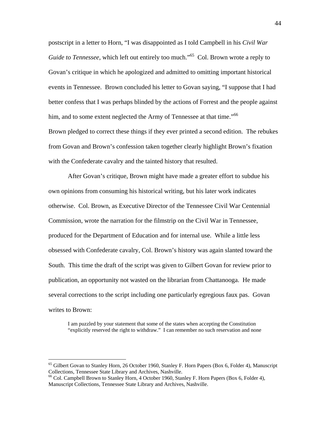postscript in a letter to Horn, "I was disappointed as I told Campbell in his *Civil War Guide to Tennessee*, which left out entirely too much."<sup>65</sup> Col. Brown wrote a reply to Govan's critique in which he apologized and admitted to omitting important historical events in Tennessee. Brown concluded his letter to Govan saying, "I suppose that I had better confess that I was perhaps blinded by the actions of Forrest and the people against him, and to some extent neglected the Army of Tennessee at that time."<sup>66</sup> Brown pledged to correct these things if they ever printed a second edition. The rebukes from Govan and Brown's confession taken together clearly highlight Brown's fixation

with the Confederate cavalry and the tainted history that resulted.

 After Govan's critique, Brown might have made a greater effort to subdue his own opinions from consuming his historical writing, but his later work indicates otherwise. Col. Brown, as Executive Director of the Tennessee Civil War Centennial Commission, wrote the narration for the filmstrip on the Civil War in Tennessee, produced for the Department of Education and for internal use. While a little less obsessed with Confederate cavalry, Col. Brown's history was again slanted toward the South. This time the draft of the script was given to Gilbert Govan for review prior to publication, an opportunity not wasted on the librarian from Chattanooga. He made several corrections to the script including one particularly egregious faux pas. Govan writes to Brown:

I am puzzled by your statement that some of the states when accepting the Constitution "explicitly reserved the right to withdraw." I can remember no such reservation and none

 $65$  Gilbert Govan to Stanley Horn, 26 October 1960, Stanley F. Horn Papers (Box 6, Folder 4), Manuscript Collections, Tennessee State Library and Archives, Nashville.

 $<sup>66</sup>$  Col. Campbell Brown to Stanley Horn, 4 October 1960, Stanley F. Horn Papers (Box 6, Folder 4),</sup> Manuscript Collections, Tennessee State Library and Archives, Nashville.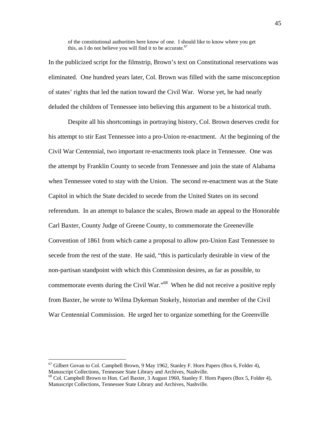of the constitutional authorities here know of one. I should like to know where you get this, as I do not believe you will find it to be accurate.<sup>67</sup>

In the publicized script for the filmstrip, Brown's text on Constitutional reservations was eliminated. One hundred years later, Col. Brown was filled with the same misconception of states' rights that led the nation toward the Civil War. Worse yet, he had nearly deluded the children of Tennessee into believing this argument to be a historical truth.

 Despite all his shortcomings in portraying history, Col. Brown deserves credit for his attempt to stir East Tennessee into a pro-Union re-enactment. At the beginning of the Civil War Centennial, two important re-enactments took place in Tennessee. One was the attempt by Franklin County to secede from Tennessee and join the state of Alabama when Tennessee voted to stay with the Union. The second re-enactment was at the State Capitol in which the State decided to secede from the United States on its second referendum. In an attempt to balance the scales, Brown made an appeal to the Honorable Carl Baxter, County Judge of Greene County, to commemorate the Greeneville Convention of 1861 from which came a proposal to allow pro-Union East Tennessee to secede from the rest of the state. He said, "this is particularly desirable in view of the non-partisan standpoint with which this Commission desires, as far as possible, to commemorate events during the Civil War."68 When he did not receive a positive reply from Baxter, he wrote to Wilma Dykeman Stokely, historian and member of the Civil War Centennial Commission. He urged her to organize something for the Greenville

 $67$  Gilbert Govan to Col. Campbell Brown, 9 May 1962, Stanley F. Horn Papers (Box 6, Folder 4), Manuscript Collections, Tennessee State Library and Archives, Nashville.

 $^{68}$  Col. Campbell Brown to Hon. Carl Baxter, 3 August 1960, Stanley F. Horn Papers (Box 5, Folder 4), Manuscript Collections, Tennessee State Library and Archives, Nashville.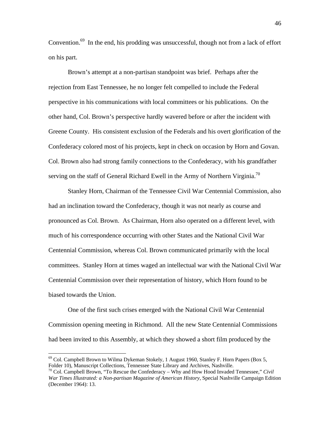Convention.<sup>69</sup> In the end, his prodding was unsuccessful, though not from a lack of effort on his part.

 Brown's attempt at a non-partisan standpoint was brief. Perhaps after the rejection from East Tennessee, he no longer felt compelled to include the Federal perspective in his communications with local committees or his publications. On the other hand, Col. Brown's perspective hardly wavered before or after the incident with Greene County. His consistent exclusion of the Federals and his overt glorification of the Confederacy colored most of his projects, kept in check on occasion by Horn and Govan. Col. Brown also had strong family connections to the Confederacy, with his grandfather serving on the staff of General Richard Ewell in the Army of Northern Virginia.<sup>70</sup>

 Stanley Horn, Chairman of the Tennessee Civil War Centennial Commission, also had an inclination toward the Confederacy, though it was not nearly as course and pronounced as Col. Brown. As Chairman, Horn also operated on a different level, with much of his correspondence occurring with other States and the National Civil War Centennial Commission, whereas Col. Brown communicated primarily with the local committees. Stanley Horn at times waged an intellectual war with the National Civil War Centennial Commission over their representation of history, which Horn found to be biased towards the Union.

 One of the first such crises emerged with the National Civil War Centennial Commission opening meeting in Richmond. All the new State Centennial Commissions had been invited to this Assembly, at which they showed a short film produced by the

 $69$  Col. Campbell Brown to Wilma Dykeman Stokely, 1 August 1960, Stanley F. Horn Papers (Box 5, Folder 10), Manuscript Collections, Tennessee State Library and Archives, Nashville. 70 Col. Campbell Brown, "To Rescue the Confederacy – Why and How Hood Invaded Tennessee," *Civil* 

*War Times Illustrated: a Non-partisan Magazine of American History*, Special Nashville Campaign Edition (December 1964): 13.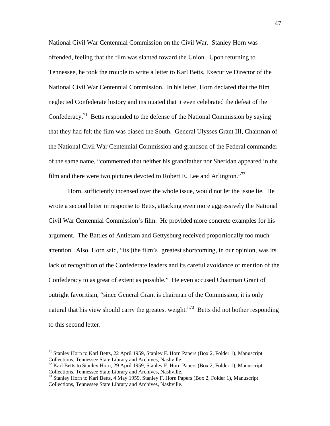National Civil War Centennial Commission on the Civil War. Stanley Horn was offended, feeling that the film was slanted toward the Union. Upon returning to Tennessee, he took the trouble to write a letter to Karl Betts, Executive Director of the National Civil War Centennial Commission. In his letter, Horn declared that the film neglected Confederate history and insinuated that it even celebrated the defeat of the Confederacy.71 Betts responded to the defense of the National Commission by saying that they had felt the film was biased the South. General Ulysses Grant III, Chairman of the National Civil War Centennial Commission and grandson of the Federal commander of the same name, "commented that neither his grandfather nor Sheridan appeared in the film and there were two pictures devoted to Robert E. Lee and Arlington.<sup> $72$ </sup>

 Horn, sufficiently incensed over the whole issue, would not let the issue lie. He wrote a second letter in response to Betts, attacking even more aggressively the National Civil War Centennial Commission's film. He provided more concrete examples for his argument. The Battles of Antietam and Gettysburg received proportionally too much attention. Also, Horn said, "its [the film's] greatest shortcoming, in our opinion, was its lack of recognition of the Confederate leaders and its careful avoidance of mention of the Confederacy to as great of extent as possible." He even accused Chairman Grant of outright favoritism, "since General Grant is chairman of the Commission, it is only natural that his view should carry the greatest weight."<sup>73</sup> Betts did not bother responding to this second letter.

 $71$  Stanley Horn to Karl Betts, 22 April 1959, Stanley F. Horn Papers (Box 2, Folder 1), Manuscript

Collections, Tennessee State Library and Archives, Nashville.<br><sup>72</sup> Karl Betts to Stanley Horn, 29 April 1959, Stanley F. Horn Papers (Box 2, Folder 1), Manuscript<br>Collections, Tennessee State Library and Archives, Nashvill

<sup>&</sup>lt;sup>73</sup> Stanley Horn to Karl Betts, 4 May 1959, Stanley F. Horn Papers (Box 2, Folder 1), Manuscript Collections, Tennessee State Library and Archives, Nashville.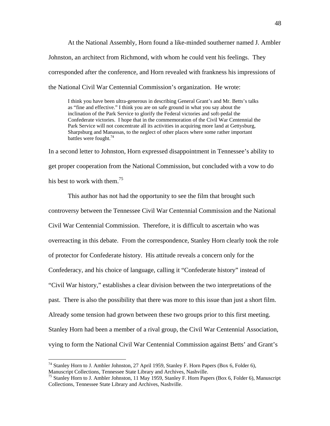At the National Assembly, Horn found a like-minded southerner named J. Ambler Johnston, an architect from Richmond, with whom he could vent his feelings. They corresponded after the conference, and Horn revealed with frankness his impressions of the National Civil War Centennial Commission's organization. He wrote:

I think you have been ultra-generous in describing General Grant's and Mr. Betts's talks as "fine and effective." I think you are on safe ground in what you say about the inclination of the Park Service to glorify the Federal victories and soft-pedal the Confederate victories. I hope that in the commemoration of the Civil War Centennial the Park Service will not concentrate all its activities in acquiring more land at Gettysburg, Sharpsburg and Manassas, to the neglect of other places where some rather important battles were fought.<sup>74</sup>

In a second letter to Johnston, Horn expressed disappointment in Tennessee's ability to get proper cooperation from the National Commission, but concluded with a vow to do his best to work with them.<sup>75</sup>

This author has not had the opportunity to see the film that brought such controversy between the Tennessee Civil War Centennial Commission and the National Civil War Centennial Commission. Therefore, it is difficult to ascertain who was overreacting in this debate. From the correspondence, Stanley Horn clearly took the role of protector for Confederate history. His attitude reveals a concern only for the Confederacy, and his choice of language, calling it "Confederate history" instead of "Civil War history," establishes a clear division between the two interpretations of the past. There is also the possibility that there was more to this issue than just a short film. Already some tension had grown between these two groups prior to this first meeting. Stanley Horn had been a member of a rival group, the Civil War Centennial Association, vying to form the National Civil War Centennial Commission against Betts' and Grant's

<u>.</u>

<sup>&</sup>lt;sup>74</sup> Stanley Horn to J. Ambler Johnston, 27 April 1959, Stanley F. Horn Papers (Box 6, Folder 6), Manuscript Collections, Tennessee State Library and Archives, Nashville.

<sup>&</sup>lt;sup>75</sup> Stanley Horn to J. Ambler Johnston, 11 May 1959, Stanley F. Horn Papers (Box 6, Folder 6), Manuscript Collections, Tennessee State Library and Archives, Nashville.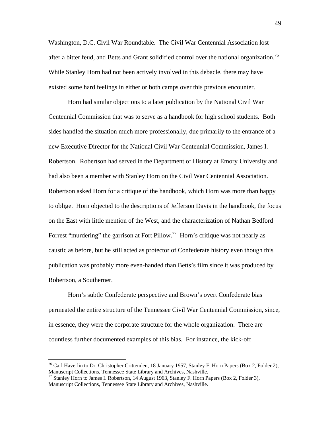Washington, D.C. Civil War Roundtable. The Civil War Centennial Association lost after a bitter feud, and Betts and Grant solidified control over the national organization.<sup>76</sup> While Stanley Horn had not been actively involved in this debacle, there may have existed some hard feelings in either or both camps over this previous encounter.

 Horn had similar objections to a later publication by the National Civil War Centennial Commission that was to serve as a handbook for high school students. Both sides handled the situation much more professionally, due primarily to the entrance of a new Executive Director for the National Civil War Centennial Commission, James I. Robertson. Robertson had served in the Department of History at Emory University and had also been a member with Stanley Horn on the Civil War Centennial Association. Robertson asked Horn for a critique of the handbook, which Horn was more than happy to oblige. Horn objected to the descriptions of Jefferson Davis in the handbook, the focus on the East with little mention of the West, and the characterization of Nathan Bedford Forrest "murdering" the garrison at Fort Pillow.<sup>77</sup> Horn's critique was not nearly as caustic as before, but he still acted as protector of Confederate history even though this publication was probably more even-handed than Betts's film since it was produced by Robertson, a Southerner.

 Horn's subtle Confederate perspective and Brown's overt Confederate bias permeated the entire structure of the Tennessee Civil War Centennial Commission, since, in essence, they were the corporate structure for the whole organization. There are countless further documented examples of this bias. For instance, the kick-off

<sup>&</sup>lt;sup>76</sup> Carl Haverlin to Dr. Christopher Crittenden, 18 January 1957, Stanley F. Horn Papers (Box 2, Folder 2), Manuscript Collections, Tennessee State Library and Archives, Nashville.

Manuscript Concentrations, Tennessee State Library and August 1963, Stanley F. Horn Papers (Box 2, Folder 3),  $\frac{77}{2}$  Stanley Horn to James I. Robertson, 14 August 1963, Stanley F. Horn Papers (Box 2, Folder 3), Manuscript Collections, Tennessee State Library and Archives, Nashville.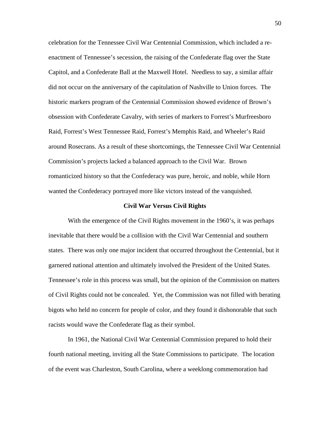celebration for the Tennessee Civil War Centennial Commission, which included a reenactment of Tennessee's secession, the raising of the Confederate flag over the State Capitol, and a Confederate Ball at the Maxwell Hotel. Needless to say, a similar affair did not occur on the anniversary of the capitulation of Nashville to Union forces. The historic markers program of the Centennial Commission showed evidence of Brown's obsession with Confederate Cavalry, with series of markers to Forrest's Murfreesboro Raid, Forrest's West Tennessee Raid, Forrest's Memphis Raid, and Wheeler's Raid around Rosecrans. As a result of these shortcomings, the Tennessee Civil War Centennial Commission's projects lacked a balanced approach to the Civil War. Brown romanticized history so that the Confederacy was pure, heroic, and noble, while Horn wanted the Confederacy portrayed more like victors instead of the vanquished.

### **Civil War Versus Civil Rights**

With the emergence of the Civil Rights movement in the 1960's, it was perhaps inevitable that there would be a collision with the Civil War Centennial and southern states. There was only one major incident that occurred throughout the Centennial, but it garnered national attention and ultimately involved the President of the United States. Tennessee's role in this process was small, but the opinion of the Commission on matters of Civil Rights could not be concealed. Yet, the Commission was not filled with berating bigots who held no concern for people of color, and they found it dishonorable that such racists would wave the Confederate flag as their symbol.

 In 1961, the National Civil War Centennial Commission prepared to hold their fourth national meeting, inviting all the State Commissions to participate. The location of the event was Charleston, South Carolina, where a weeklong commemoration had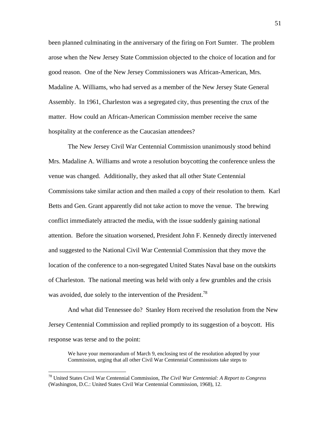been planned culminating in the anniversary of the firing on Fort Sumter. The problem arose when the New Jersey State Commission objected to the choice of location and for good reason. One of the New Jersey Commissioners was African-American, Mrs. Madaline A. Williams, who had served as a member of the New Jersey State General Assembly. In 1961, Charleston was a segregated city, thus presenting the crux of the matter. How could an African-American Commission member receive the same hospitality at the conference as the Caucasian attendees?

The New Jersey Civil War Centennial Commission unanimously stood behind Mrs. Madaline A. Williams and wrote a resolution boycotting the conference unless the venue was changed. Additionally, they asked that all other State Centennial Commissions take similar action and then mailed a copy of their resolution to them. Karl Betts and Gen. Grant apparently did not take action to move the venue. The brewing conflict immediately attracted the media, with the issue suddenly gaining national attention. Before the situation worsened, President John F. Kennedy directly intervened and suggested to the National Civil War Centennial Commission that they move the location of the conference to a non-segregated United States Naval base on the outskirts of Charleston. The national meeting was held with only a few grumbles and the crisis was avoided, due solely to the intervention of the President.<sup>78</sup>

 And what did Tennessee do? Stanley Horn received the resolution from the New Jersey Centennial Commission and replied promptly to its suggestion of a boycott. His response was terse and to the point:

We have your memorandum of March 9, enclosing test of the resolution adopted by your Commission, urging that all other Civil War Centennial Commissions take steps to

<sup>78</sup> United States Civil War Centennial Commission, *The Civil War Centennial: A Report to Congress* (Washington, D.C.: United States Civil War Centennial Commission, 1968), 12.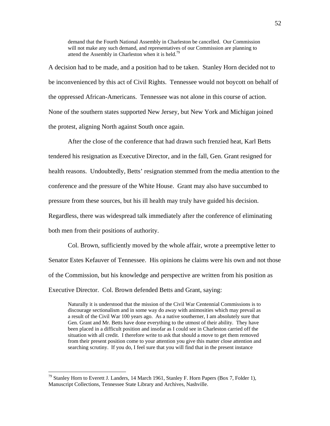demand that the Fourth National Assembly in Charleston be cancelled. Our Commission will not make any such demand, and representatives of our Commission are planning to attend the Assembly in Charleston when it is held.<sup>79</sup>

A decision had to be made, and a position had to be taken. Stanley Horn decided not to be inconvenienced by this act of Civil Rights. Tennessee would not boycott on behalf of the oppressed African-Americans. Tennessee was not alone in this course of action. None of the southern states supported New Jersey, but New York and Michigan joined the protest, aligning North against South once again.

 After the close of the conference that had drawn such frenzied heat, Karl Betts tendered his resignation as Executive Director, and in the fall, Gen. Grant resigned for health reasons. Undoubtedly, Betts' resignation stemmed from the media attention to the conference and the pressure of the White House. Grant may also have succumbed to pressure from these sources, but his ill health may truly have guided his decision. Regardless, there was widespread talk immediately after the conference of eliminating both men from their positions of authority.

Col. Brown, sufficiently moved by the whole affair, wrote a preemptive letter to Senator Estes Kefauver of Tennessee. His opinions he claims were his own and not those of the Commission, but his knowledge and perspective are written from his position as Executive Director. Col. Brown defended Betts and Grant, saying:

Naturally it is understood that the mission of the Civil War Centennial Commissions is to discourage sectionalism and in some way do away with animosities which may prevail as a result of the Civil War 100 years ago. As a native southerner, I am absolutely sure that Gen. Grant and Mr. Betts have done everything to the utmost of their ability. They have been placed in a difficult position and insofar as I could see in Charleston carried off the situation with all credit. I therefore write to ask that should a move to get them removed from their present position come to your attention you give this matter close attention and searching scrutiny. If you do, I feel sure that you will find that in the present instance

 $^{79}$  Stanley Horn to Everett J. Landers, 14 March 1961, Stanley F. Horn Papers (Box 7, Folder 1), Manuscript Collections, Tennessee State Library and Archives, Nashville.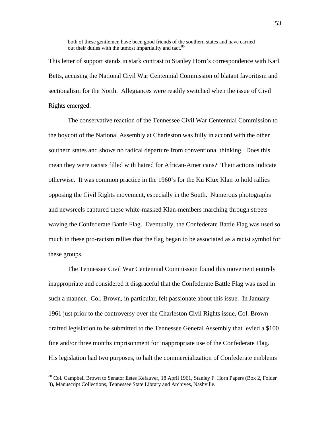both of these gentlemen have been good friends of the southern states and have carried out their duties with the utmost impartiality and tact.<sup>80</sup>

This letter of support stands in stark contrast to Stanley Horn's correspondence with Karl Betts, accusing the National Civil War Centennial Commission of blatant favoritism and sectionalism for the North. Allegiances were readily switched when the issue of Civil Rights emerged.

 The conservative reaction of the Tennessee Civil War Centennial Commission to the boycott of the National Assembly at Charleston was fully in accord with the other southern states and shows no radical departure from conventional thinking. Does this mean they were racists filled with hatred for African-Americans? Their actions indicate otherwise. It was common practice in the 1960's for the Ku Klux Klan to hold rallies opposing the Civil Rights movement, especially in the South. Numerous photographs and newsreels captured these white-masked Klan-members marching through streets waving the Confederate Battle Flag. Eventually, the Confederate Battle Flag was used so much in these pro-racism rallies that the flag began to be associated as a racist symbol for these groups.

 The Tennessee Civil War Centennial Commission found this movement entirely inappropriate and considered it disgraceful that the Confederate Battle Flag was used in such a manner. Col. Brown, in particular, felt passionate about this issue. In January 1961 just prior to the controversy over the Charleston Civil Rights issue, Col. Brown drafted legislation to be submitted to the Tennessee General Assembly that levied a \$100 fine and/or three months imprisonment for inappropriate use of the Confederate Flag. His legislation had two purposes, to halt the commercialization of Confederate emblems

<sup>&</sup>lt;sup>80</sup> Col. Campbell Brown to Senator Estes Kefauver, 18 April 1961, Stanley F. Horn Papers (Box 2, Folder 3), Manuscript Collections, Tennessee State Library and Archives, Nashville.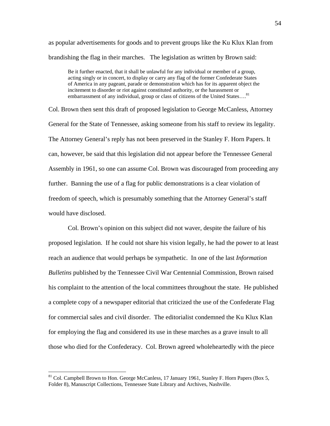as popular advertisements for goods and to prevent groups like the Ku Klux Klan from brandishing the flag in their marches. The legislation as written by Brown said:

Be it further enacted, that it shall be unlawful for any individual or member of a group, acting singly or in concert, to display or carry any flag of the former Confederate States of America in any pageant, parade or demonstration which has for its apparent object the incitement to disorder or riot against constituted authority, or the harassment or embarrassment of any individual, group or class of citizens of the United States....<sup>81</sup>

Col. Brown then sent this draft of proposed legislation to George McCanless, Attorney General for the State of Tennessee, asking someone from his staff to review its legality. The Attorney General's reply has not been preserved in the Stanley F. Horn Papers. It can, however, be said that this legislation did not appear before the Tennessee General Assembly in 1961, so one can assume Col. Brown was discouraged from proceeding any further. Banning the use of a flag for public demonstrations is a clear violation of freedom of speech, which is presumably something that the Attorney General's staff would have disclosed.

 Col. Brown's opinion on this subject did not waver, despite the failure of his proposed legislation. If he could not share his vision legally, he had the power to at least reach an audience that would perhaps be sympathetic. In one of the last *Information Bulletins* published by the Tennessee Civil War Centennial Commission, Brown raised his complaint to the attention of the local committees throughout the state. He published a complete copy of a newspaper editorial that criticized the use of the Confederate Flag for commercial sales and civil disorder. The editorialist condemned the Ku Klux Klan for employing the flag and considered its use in these marches as a grave insult to all those who died for the Confederacy. Col. Brown agreed wholeheartedly with the piece

<sup>&</sup>lt;sup>81</sup> Col. Campbell Brown to Hon. George McCanless, 17 January 1961, Stanley F. Horn Papers (Box 5, Folder 8), Manuscript Collections, Tennessee State Library and Archives, Nashville.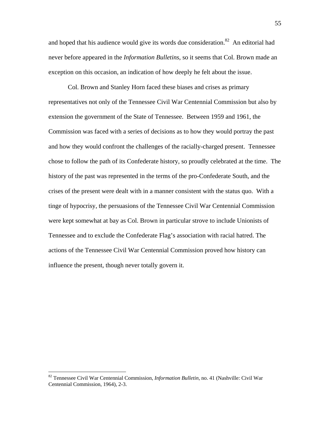and hoped that his audience would give its words due consideration. $82$  An editorial had never before appeared in the *Information Bulletins*, so it seems that Col. Brown made an exception on this occasion, an indication of how deeply he felt about the issue.

 Col. Brown and Stanley Horn faced these biases and crises as primary representatives not only of the Tennessee Civil War Centennial Commission but also by extension the government of the State of Tennessee. Between 1959 and 1961, the Commission was faced with a series of decisions as to how they would portray the past and how they would confront the challenges of the racially-charged present. Tennessee chose to follow the path of its Confederate history, so proudly celebrated at the time. The history of the past was represented in the terms of the pro-Confederate South, and the crises of the present were dealt with in a manner consistent with the status quo. With a tinge of hypocrisy, the persuasions of the Tennessee Civil War Centennial Commission were kept somewhat at bay as Col. Brown in particular strove to include Unionists of Tennessee and to exclude the Confederate Flag's association with racial hatred. The actions of the Tennessee Civil War Centennial Commission proved how history can influence the present, though never totally govern it.

<sup>82</sup> Tennessee Civil War Centennial Commission, *Information Bulletin*, no. 41 (Nashville: Civil War Centennial Commission, 1964), 2-3.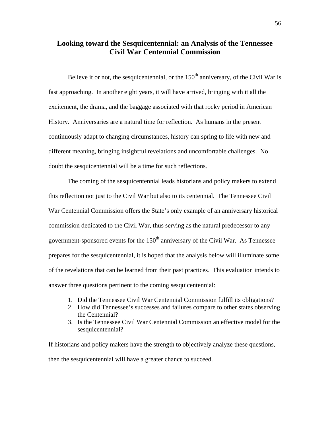# **Looking toward the Sesquicentennial: an Analysis of the Tennessee Civil War Centennial Commission**

Believe it or not, the sesquicentennial, or the  $150<sup>th</sup>$  anniversary, of the Civil War is fast approaching. In another eight years, it will have arrived, bringing with it all the excitement, the drama, and the baggage associated with that rocky period in American History. Anniversaries are a natural time for reflection. As humans in the present continuously adapt to changing circumstances, history can spring to life with new and different meaning, bringing insightful revelations and uncomfortable challenges. No doubt the sesquicentennial will be a time for such reflections.

 The coming of the sesquicentennial leads historians and policy makers to extend this reflection not just to the Civil War but also to its centennial. The Tennessee Civil War Centennial Commission offers the State's only example of an anniversary historical commission dedicated to the Civil War, thus serving as the natural predecessor to any government-sponsored events for the  $150<sup>th</sup>$  anniversary of the Civil War. As Tennessee prepares for the sesquicentennial, it is hoped that the analysis below will illuminate some of the revelations that can be learned from their past practices. This evaluation intends to answer three questions pertinent to the coming sesquicentennial:

- 1. Did the Tennessee Civil War Centennial Commission fulfill its obligations?
- 2. How did Tennessee's successes and failures compare to other states observing the Centennial?
- 3. Is the Tennessee Civil War Centennial Commission an effective model for the sesquicentennial?

If historians and policy makers have the strength to objectively analyze these questions, then the sesquicentennial will have a greater chance to succeed.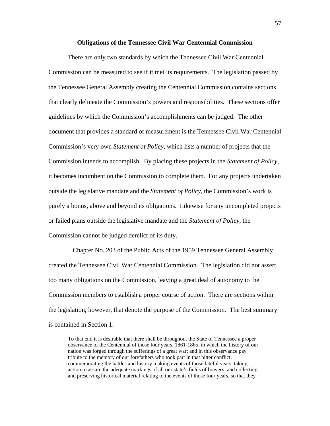#### **Obligations of the Tennessee Civil War Centennial Commission**

 There are only two standards by which the Tennessee Civil War Centennial Commission can be measured to see if it met its requirements. The legislation passed by the Tennessee General Assembly creating the Centennial Commission contains sections that clearly delineate the Commission's powers and responsibilities. These sections offer guidelines by which the Commission's accomplishments can be judged. The other document that provides a standard of measurement is the Tennessee Civil War Centennial Commission's very own *Statement of Policy*, which lists a number of projects that the Commission intends to accomplish. By placing these projects in the *Statement of Policy*, it becomes incumbent on the Commission to complete them. For any projects undertaken outside the legislative mandate and the *Statement of Policy*, the Commission's work is purely a bonus, above and beyond its obligations. Likewise for any uncompleted projects or failed plans outside the legislative mandate and the *Statement of Policy*, the Commission cannot be judged derelict of its duty.

 Chapter No. 203 of the Public Acts of the 1959 Tennessee General Assembly created the Tennessee Civil War Centennial Commission. The legislation did not assert too many obligations on the Commission, leaving a great deal of autonomy to the Commission members to establish a proper course of action. There are sections within the legislation, however, that denote the purpose of the Commission. The best summary is contained in Section 1:

To that end it is desirable that there shall be throughout the State of Tennessee a proper observance of the Centennial of those four years, 1861-1865, in which the history of our nation was forged through the sufferings of a great war; and in this observance pay tribute to the memory of our forefathers who took part in that bitter conflict, commemorating the battles and history making events of those fateful years, taking action to assure the adequate markings of all our state's fields of bravery, and collecting and preserving historical material relating to the events of those four years, so that they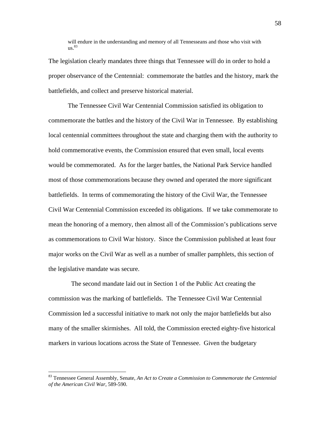will endure in the understanding and memory of all Tennesseans and those who visit with us. 83

The legislation clearly mandates three things that Tennessee will do in order to hold a proper observance of the Centennial: commemorate the battles and the history, mark the battlefields, and collect and preserve historical material.

 The Tennessee Civil War Centennial Commission satisfied its obligation to commemorate the battles and the history of the Civil War in Tennessee. By establishing local centennial committees throughout the state and charging them with the authority to hold commemorative events, the Commission ensured that even small, local events would be commemorated. As for the larger battles, the National Park Service handled most of those commemorations because they owned and operated the more significant battlefields. In terms of commemorating the history of the Civil War, the Tennessee Civil War Centennial Commission exceeded its obligations. If we take commemorate to mean the honoring of a memory, then almost all of the Commission's publications serve as commemorations to Civil War history. Since the Commission published at least four major works on the Civil War as well as a number of smaller pamphlets, this section of the legislative mandate was secure.

 The second mandate laid out in Section 1 of the Public Act creating the commission was the marking of battlefields. The Tennessee Civil War Centennial Commission led a successful initiative to mark not only the major battlefields but also many of the smaller skirmishes. All told, the Commission erected eighty-five historical markers in various locations across the State of Tennessee. Given the budgetary

<sup>83</sup> Tennessee General Assembly, Senate, *An Act to Create a Commission to Commemorate the Centennial of the American Civil War*, 589-590.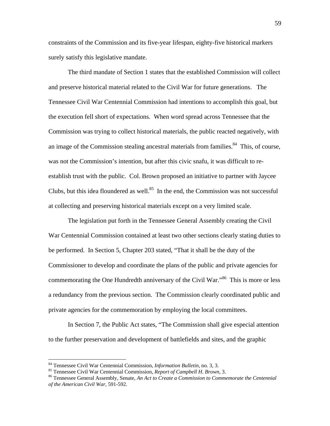constraints of the Commission and its five-year lifespan, eighty-five historical markers surely satisfy this legislative mandate.

 The third mandate of Section 1 states that the established Commission will collect and preserve historical material related to the Civil War for future generations. The Tennessee Civil War Centennial Commission had intentions to accomplish this goal, but the execution fell short of expectations. When word spread across Tennessee that the Commission was trying to collect historical materials, the public reacted negatively, with an image of the Commission stealing ancestral materials from families.<sup>84</sup> This, of course, was not the Commission's intention, but after this civic snafu, it was difficult to reestablish trust with the public. Col. Brown proposed an initiative to partner with Jaycee Clubs, but this idea floundered as well.<sup>85</sup> In the end, the Commission was not successful at collecting and preserving historical materials except on a very limited scale.

 The legislation put forth in the Tennessee General Assembly creating the Civil War Centennial Commission contained at least two other sections clearly stating duties to be performed. In Section 5, Chapter 203 stated, "That it shall be the duty of the Commissioner to develop and coordinate the plans of the public and private agencies for commemorating the One Hundredth anniversary of the Civil War.<sup>366</sup> This is more or less a redundancy from the previous section. The Commission clearly coordinated public and private agencies for the commemoration by employing the local committees.

In Section 7, the Public Act states, "The Commission shall give especial attention to the further preservation and development of battlefields and sites, and the graphic

<sup>&</sup>lt;sup>84</sup> Tennessee Civil War Centennial Commission, *Information Bulletin*, no. 3, 3.

 $85$  Tennessee Civil War Centennial Commission, *Report of Campbell H. Brown*, 3.<br><sup>86</sup> Tennessee General Assembly, Senate, *An Act to Create a Commission to Commemorate the Centennial of the American Civil War,* 591-592.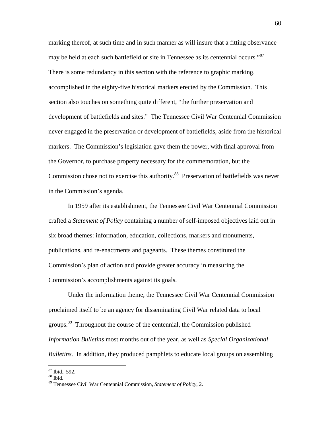marking thereof, at such time and in such manner as will insure that a fitting observance may be held at each such battlefield or site in Tennessee as its centennial occurs."<sup>87</sup> There is some redundancy in this section with the reference to graphic marking, accomplished in the eighty-five historical markers erected by the Commission. This section also touches on something quite different, "the further preservation and development of battlefields and sites." The Tennessee Civil War Centennial Commission never engaged in the preservation or development of battlefields, aside from the historical markers. The Commission's legislation gave them the power, with final approval from the Governor, to purchase property necessary for the commemoration, but the Commission chose not to exercise this authority.<sup>88</sup> Preservation of battlefields was never in the Commission's agenda.

In 1959 after its establishment, the Tennessee Civil War Centennial Commission crafted a *Statement of Policy* containing a number of self-imposed objectives laid out in six broad themes: information, education, collections, markers and monuments, publications, and re-enactments and pageants. These themes constituted the Commission's plan of action and provide greater accuracy in measuring the Commission's accomplishments against its goals.

Under the information theme, the Tennessee Civil War Centennial Commission proclaimed itself to be an agency for disseminating Civil War related data to local groups.<sup>89</sup> Throughout the course of the centennial, the Commission published *Information Bulletins* most months out of the year, as well as *Special Organizational Bulletins*. In addition, they produced pamphlets to educate local groups on assembling

<sup>87</sup> Ibid., 592.

<sup>88</sup> Ibid.

<sup>89</sup> Tennessee Civil War Centennial Commission, *Statement of Policy*, 2.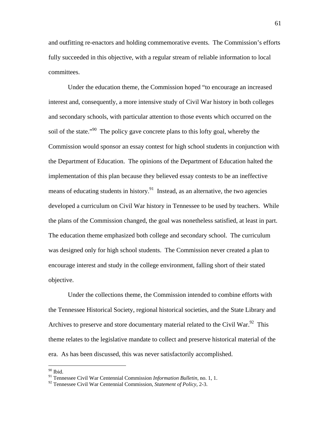and outfitting re-enactors and holding commemorative events. The Commission's efforts fully succeeded in this objective, with a regular stream of reliable information to local committees.

Under the education theme, the Commission hoped "to encourage an increased interest and, consequently, a more intensive study of Civil War history in both colleges and secondary schools, with particular attention to those events which occurred on the soil of the state."<sup>90</sup> The policy gave concrete plans to this lofty goal, whereby the Commission would sponsor an essay contest for high school students in conjunction with the Department of Education. The opinions of the Department of Education halted the implementation of this plan because they believed essay contests to be an ineffective means of educating students in history.<sup>91</sup> Instead, as an alternative, the two agencies developed a curriculum on Civil War history in Tennessee to be used by teachers. While the plans of the Commission changed, the goal was nonetheless satisfied, at least in part. The education theme emphasized both college and secondary school. The curriculum was designed only for high school students. The Commission never created a plan to encourage interest and study in the college environment, falling short of their stated objective.

Under the collections theme, the Commission intended to combine efforts with the Tennessee Historical Society, regional historical societies, and the State Library and Archives to preserve and store documentary material related to the Civil War.<sup>92</sup> This theme relates to the legislative mandate to collect and preserve historical material of the era. As has been discussed, this was never satisfactorily accomplished.

 $90$  Ibid.

<sup>91</sup> Tennessee Civil War Centennial Commission *Information Bulletin*, no. 1, 1.

<sup>92</sup> Tennessee Civil War Centennial Commission, *Statement of Policy*, 2-3.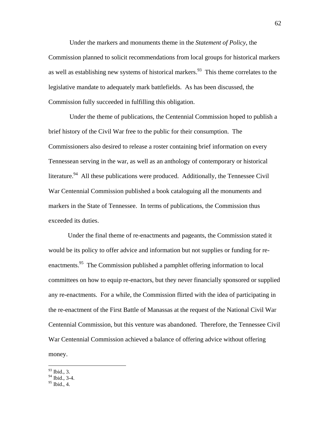Under the markers and monuments theme in the *Statement of Policy*, the Commission planned to solicit recommendations from local groups for historical markers as well as establishing new systems of historical markers.<sup>93</sup> This theme correlates to the legislative mandate to adequately mark battlefields. As has been discussed, the Commission fully succeeded in fulfilling this obligation.

 Under the theme of publications, the Centennial Commission hoped to publish a brief history of the Civil War free to the public for their consumption. The Commissioners also desired to release a roster containing brief information on every Tennessean serving in the war, as well as an anthology of contemporary or historical literature.<sup>94</sup> All these publications were produced. Additionally, the Tennessee Civil War Centennial Commission published a book cataloguing all the monuments and markers in the State of Tennessee. In terms of publications, the Commission thus exceeded its duties.

Under the final theme of re-enactments and pageants, the Commission stated it would be its policy to offer advice and information but not supplies or funding for reenactments.<sup>95</sup> The Commission published a pamphlet offering information to local committees on how to equip re-enactors, but they never financially sponsored or supplied any re-enactments. For a while, the Commission flirted with the idea of participating in the re-enactment of the First Battle of Manassas at the request of the National Civil War Centennial Commission, but this venture was abandoned. Therefore, the Tennessee Civil War Centennial Commission achieved a balance of offering advice without offering money.

 $\overline{a}$ 93 Ibid., 3.

<sup>&</sup>lt;sup>94</sup> Ibid., 3-4.

 $95$  Ibid., 4.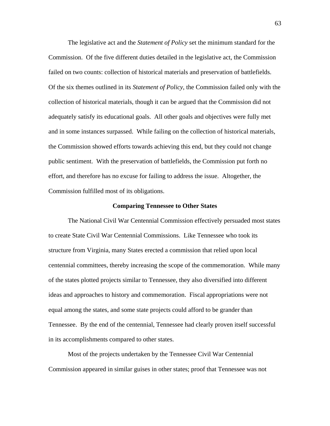The legislative act and the *Statement of Policy* set the minimum standard for the Commission. Of the five different duties detailed in the legislative act, the Commission failed on two counts: collection of historical materials and preservation of battlefields. Of the six themes outlined in its *Statement of Policy*, the Commission failed only with the collection of historical materials, though it can be argued that the Commission did not adequately satisfy its educational goals. All other goals and objectives were fully met and in some instances surpassed. While failing on the collection of historical materials, the Commission showed efforts towards achieving this end, but they could not change public sentiment. With the preservation of battlefields, the Commission put forth no effort, and therefore has no excuse for failing to address the issue. Altogether, the Commission fulfilled most of its obligations.

### **Comparing Tennessee to Other States**

 The National Civil War Centennial Commission effectively persuaded most states to create State Civil War Centennial Commissions. Like Tennessee who took its structure from Virginia, many States erected a commission that relied upon local centennial committees, thereby increasing the scope of the commemoration. While many of the states plotted projects similar to Tennessee, they also diversified into different ideas and approaches to history and commemoration. Fiscal appropriations were not equal among the states, and some state projects could afford to be grander than Tennessee. By the end of the centennial, Tennessee had clearly proven itself successful in its accomplishments compared to other states.

 Most of the projects undertaken by the Tennessee Civil War Centennial Commission appeared in similar guises in other states; proof that Tennessee was not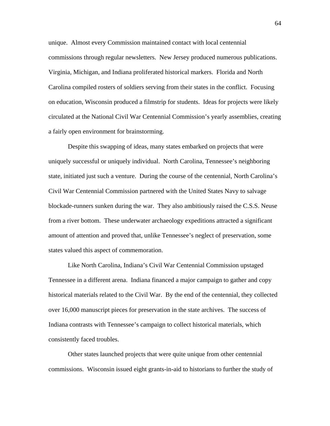unique. Almost every Commission maintained contact with local centennial commissions through regular newsletters. New Jersey produced numerous publications. Virginia, Michigan, and Indiana proliferated historical markers. Florida and North Carolina compiled rosters of soldiers serving from their states in the conflict. Focusing on education, Wisconsin produced a filmstrip for students. Ideas for projects were likely circulated at the National Civil War Centennial Commission's yearly assemblies, creating a fairly open environment for brainstorming.

 Despite this swapping of ideas, many states embarked on projects that were uniquely successful or uniquely individual. North Carolina, Tennessee's neighboring state, initiated just such a venture. During the course of the centennial, North Carolina's Civil War Centennial Commission partnered with the United States Navy to salvage blockade-runners sunken during the war. They also ambitiously raised the C.S.S. Neuse from a river bottom. These underwater archaeology expeditions attracted a significant amount of attention and proved that, unlike Tennessee's neglect of preservation, some states valued this aspect of commemoration.

 Like North Carolina, Indiana's Civil War Centennial Commission upstaged Tennessee in a different arena. Indiana financed a major campaign to gather and copy historical materials related to the Civil War. By the end of the centennial, they collected over 16,000 manuscript pieces for preservation in the state archives. The success of Indiana contrasts with Tennessee's campaign to collect historical materials, which consistently faced troubles.

 Other states launched projects that were quite unique from other centennial commissions. Wisconsin issued eight grants-in-aid to historians to further the study of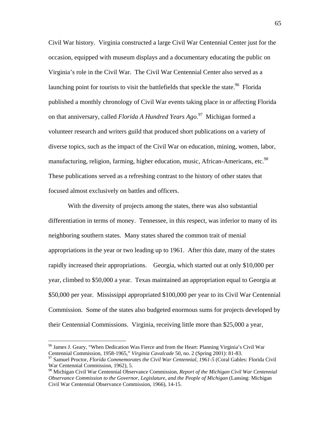Civil War history. Virginia constructed a large Civil War Centennial Center just for the occasion, equipped with museum displays and a documentary educating the public on Virginia's role in the Civil War. The Civil War Centennial Center also served as a launching point for tourists to visit the battlefields that speckle the state.<sup>96</sup> Florida published a monthly chronology of Civil War events taking place in or affecting Florida on that anniversary, called *Florida A Hundred Years Ago*. 97 Michigan formed a volunteer research and writers guild that produced short publications on a variety of diverse topics, such as the impact of the Civil War on education, mining, women, labor, manufacturing, religion, farming, higher education, music, African-Americans, etc.<sup>98</sup> These publications served as a refreshing contrast to the history of other states that focused almost exclusively on battles and officers.

 With the diversity of projects among the states, there was also substantial differentiation in terms of money. Tennessee, in this respect, was inferior to many of its neighboring southern states. Many states shared the common trait of menial appropriations in the year or two leading up to 1961. After this date, many of the states rapidly increased their appropriations. Georgia, which started out at only \$10,000 per year, climbed to \$50,000 a year. Texas maintained an appropriation equal to Georgia at \$50,000 per year. Mississippi appropriated \$100,000 per year to its Civil War Centennial Commission. Some of the states also budgeted enormous sums for projects developed by their Centennial Commissions. Virginia, receiving little more than \$25,000 a year,

<u>.</u>

<sup>&</sup>lt;sup>96</sup> James J. Geary, "When Dedication Was Fierce and from the Heart: Planning Virginia's Civil War Centennial Commission, 1958-1965," *Virginia Cavalcade* 50, no. 2 (Spring 2001): 81-83.

<sup>&</sup>lt;sup>97</sup> Samuel Proctor, *Florida Commemorates the Civil War Centennial, 1961-5* (Coral Gables: Florida Civil War Centennial Commission, 1962), 5.

<sup>98</sup> Michigan Civil War Centennial Observance Commission, *Report of the Michigan Civil War Centennial Observance Commission to the Governor, Legislature, and the People of Michigan* (Lansing: Michigan Civil War Centennial Observance Commission, 1966), 14-15.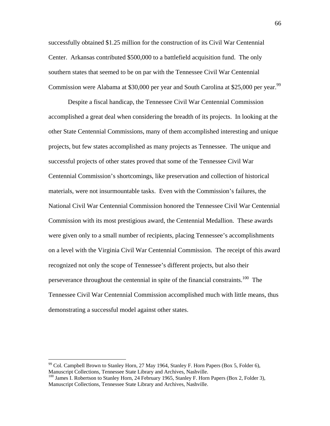successfully obtained \$1.25 million for the construction of its Civil War Centennial Center. Arkansas contributed \$500,000 to a battlefield acquisition fund. The only southern states that seemed to be on par with the Tennessee Civil War Centennial Commission were Alabama at \$30,000 per year and South Carolina at \$25,000 per year.<sup>99</sup>

 Despite a fiscal handicap, the Tennessee Civil War Centennial Commission accomplished a great deal when considering the breadth of its projects. In looking at the other State Centennial Commissions, many of them accomplished interesting and unique projects, but few states accomplished as many projects as Tennessee. The unique and successful projects of other states proved that some of the Tennessee Civil War Centennial Commission's shortcomings, like preservation and collection of historical materials, were not insurmountable tasks. Even with the Commission's failures, the National Civil War Centennial Commission honored the Tennessee Civil War Centennial Commission with its most prestigious award, the Centennial Medallion. These awards were given only to a small number of recipients, placing Tennessee's accomplishments on a level with the Virginia Civil War Centennial Commission. The receipt of this award recognized not only the scope of Tennessee's different projects, but also their perseverance throughout the centennial in spite of the financial constraints.<sup>100</sup> The Tennessee Civil War Centennial Commission accomplished much with little means, thus demonstrating a successful model against other states.

<u>.</u>

 $99$  Col. Campbell Brown to Stanley Horn, 27 May 1964, Stanley F. Horn Papers (Box 5, Folder 6), Manuscript Collections, Tennessee State Library and Archives, Nashville.

 $^{100}$  James I. Robertson to Stanley Horn, 24 February 1965, Stanley F. Horn Papers (Box 2, Folder 3), Manuscript Collections, Tennessee State Library and Archives, Nashville.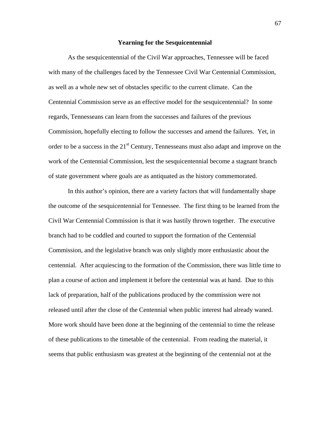#### **Yearning for the Sesquicentennial**

 As the sesquicentennial of the Civil War approaches, Tennessee will be faced with many of the challenges faced by the Tennessee Civil War Centennial Commission, as well as a whole new set of obstacles specific to the current climate. Can the Centennial Commission serve as an effective model for the sesquicentennial? In some regards, Tennesseans can learn from the successes and failures of the previous Commission, hopefully electing to follow the successes and amend the failures. Yet, in order to be a success in the  $21<sup>st</sup>$  Century, Tennesseans must also adapt and improve on the work of the Centennial Commission, lest the sesquicentennial become a stagnant branch of state government where goals are as antiquated as the history commemorated.

 In this author's opinion, there are a variety factors that will fundamentally shape the outcome of the sesquicentennial for Tennessee. The first thing to be learned from the Civil War Centennial Commission is that it was hastily thrown together. The executive branch had to be coddled and courted to support the formation of the Centennial Commission, and the legislative branch was only slightly more enthusiastic about the centennial. After acquiescing to the formation of the Commission, there was little time to plan a course of action and implement it before the centennial was at hand. Due to this lack of preparation, half of the publications produced by the commission were not released until after the close of the Centennial when public interest had already waned. More work should have been done at the beginning of the centennial to time the release of these publications to the timetable of the centennial. From reading the material, it seems that public enthusiasm was greatest at the beginning of the centennial not at the

67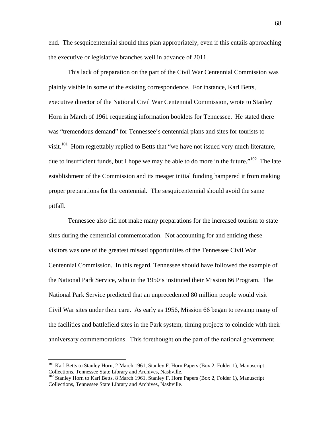end. The sesquicentennial should thus plan appropriately, even if this entails approaching the executive or legislative branches well in advance of 2011.

 This lack of preparation on the part of the Civil War Centennial Commission was plainly visible in some of the existing correspondence. For instance, Karl Betts, executive director of the National Civil War Centennial Commission, wrote to Stanley Horn in March of 1961 requesting information booklets for Tennessee. He stated there was "tremendous demand" for Tennessee's centennial plans and sites for tourists to visit.<sup>101</sup> Horn regrettably replied to Betts that "we have not issued very much literature, due to insufficient funds, but I hope we may be able to do more in the future."<sup>102</sup> The late establishment of the Commission and its meager initial funding hampered it from making proper preparations for the centennial. The sesquicentennial should avoid the same pitfall.

 Tennessee also did not make many preparations for the increased tourism to state sites during the centennial commemoration. Not accounting for and enticing these visitors was one of the greatest missed opportunities of the Tennessee Civil War Centennial Commission. In this regard, Tennessee should have followed the example of the National Park Service, who in the 1950's instituted their Mission 66 Program. The National Park Service predicted that an unprecedented 80 million people would visit Civil War sites under their care. As early as 1956, Mission 66 began to revamp many of the facilities and battlefield sites in the Park system, timing projects to coincide with their anniversary commemorations. This forethought on the part of the national government

<u>.</u>

<sup>&</sup>lt;sup>101</sup> Karl Betts to Stanley Horn, 2 March 1961, Stanley F. Horn Papers (Box 2, Folder 1), Manuscript Collections, Tennessee State Library and Archives, Nashville.

<sup>&</sup>lt;sup>102</sup> Stanley Horn to Karl Betts, 8 March 1961, Stanley F. Horn Papers (Box 2, Folder 1), Manuscript Collections, Tennessee State Library and Archives, Nashville.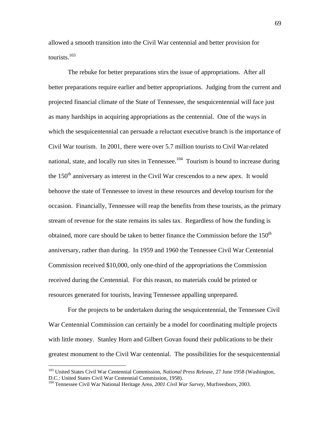allowed a smooth transition into the Civil War centennial and better provision for tourists. $103$ 

The rebuke for better preparations stirs the issue of appropriations. After all better preparations require earlier and better appropriations. Judging from the current and projected financial climate of the State of Tennessee, the sesquicentennial will face just as many hardships in acquiring appropriations as the centennial. One of the ways in which the sesquicentennial can persuade a reluctant executive branch is the importance of Civil War tourism. In 2001, there were over 5.7 million tourists to Civil War-related national, state, and locally run sites in Tennessee.<sup>104</sup> Tourism is bound to increase during the  $150<sup>th</sup>$  anniversary as interest in the Civil War crescendos to a new apex. It would behoove the state of Tennessee to invest in these resources and develop tourism for the occasion. Financially, Tennessee will reap the benefits from these tourists, as the primary stream of revenue for the state remains its sales tax. Regardless of how the funding is obtained, more care should be taken to better finance the Commission before the  $150<sup>th</sup>$ anniversary, rather than during. In 1959 and 1960 the Tennessee Civil War Centennial Commission received \$10,000, only one-third of the appropriations the Commission received during the Centennial. For this reason, no materials could be printed or resources generated for tourists, leaving Tennessee appalling unprepared.

 For the projects to be undertaken during the sesquicentennial, the Tennessee Civil War Centennial Commission can certainly be a model for coordinating multiple projects with little money. Stanley Horn and Gilbert Govan found their publications to be their greatest monument to the Civil War centennial. The possibilities for the sesquicentennial

1

<sup>103</sup> United States Civil War Centennial Commission, *National Press Release*, 27 June 1958 (Washington, D.C.: United States Civil War Centennial Commission, 1958).

<sup>104</sup> Tennessee Civil War National Heritage Area, *2001 Civil War Survey*, Murfreesboro, 2003.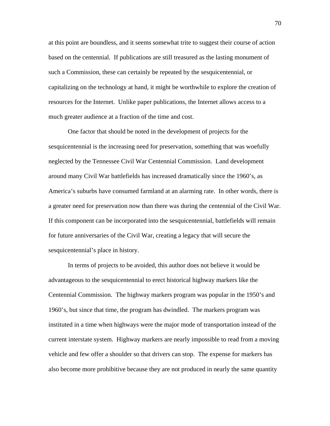at this point are boundless, and it seems somewhat trite to suggest their course of action based on the centennial. If publications are still treasured as the lasting monument of such a Commission, these can certainly be repeated by the sesquicentennial, or capitalizing on the technology at hand, it might be worthwhile to explore the creation of resources for the Internet. Unlike paper publications, the Internet allows access to a much greater audience at a fraction of the time and cost.

 One factor that should be noted in the development of projects for the sesquicentennial is the increasing need for preservation, something that was woefully neglected by the Tennessee Civil War Centennial Commission. Land development around many Civil War battlefields has increased dramatically since the 1960's, as America's suburbs have consumed farmland at an alarming rate. In other words, there is a greater need for preservation now than there was during the centennial of the Civil War. If this component can be incorporated into the sesquicentennial, battlefields will remain for future anniversaries of the Civil War, creating a legacy that will secure the sesquicentennial's place in history.

 In terms of projects to be avoided, this author does not believe it would be advantageous to the sesquicentennial to erect historical highway markers like the Centennial Commission. The highway markers program was popular in the 1950's and 1960's, but since that time, the program has dwindled. The markers program was instituted in a time when highways were the major mode of transportation instead of the current interstate system. Highway markers are nearly impossible to read from a moving vehicle and few offer a shoulder so that drivers can stop. The expense for markers has also become more prohibitive because they are not produced in nearly the same quantity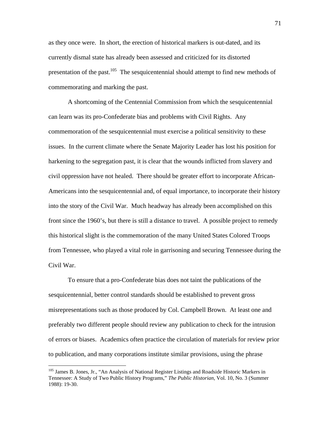as they once were. In short, the erection of historical markers is out-dated, and its currently dismal state has already been assessed and criticized for its distorted presentation of the past.<sup>105</sup> The sesquicentennial should attempt to find new methods of commemorating and marking the past.

 A shortcoming of the Centennial Commission from which the sesquicentennial can learn was its pro-Confederate bias and problems with Civil Rights. Any commemoration of the sesquicentennial must exercise a political sensitivity to these issues. In the current climate where the Senate Majority Leader has lost his position for harkening to the segregation past, it is clear that the wounds inflicted from slavery and civil oppression have not healed. There should be greater effort to incorporate African-Americans into the sesquicentennial and, of equal importance, to incorporate their history into the story of the Civil War. Much headway has already been accomplished on this front since the 1960's, but there is still a distance to travel. A possible project to remedy this historical slight is the commemoration of the many United States Colored Troops from Tennessee, who played a vital role in garrisoning and securing Tennessee during the Civil War.

 To ensure that a pro-Confederate bias does not taint the publications of the sesquicentennial, better control standards should be established to prevent gross misrepresentations such as those produced by Col. Campbell Brown. At least one and preferably two different people should review any publication to check for the intrusion of errors or biases. Academics often practice the circulation of materials for review prior to publication, and many corporations institute similar provisions, using the phrase

<sup>&</sup>lt;sup>105</sup> James B. Jones, Jr., "An Analysis of National Register Listings and Roadside Historic Markers in Tennessee: A Study of Two Public History Programs," *The Public Historian*, Vol. 10, No. 3 (Summer 1988): 19-30.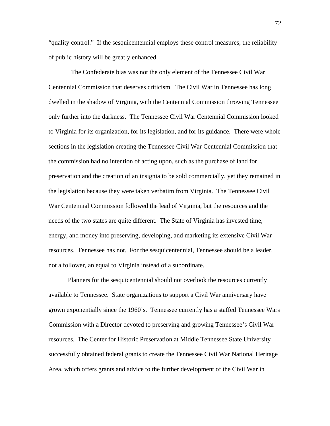"quality control." If the sesquicentennial employs these control measures, the reliability of public history will be greatly enhanced.

 The Confederate bias was not the only element of the Tennessee Civil War Centennial Commission that deserves criticism. The Civil War in Tennessee has long dwelled in the shadow of Virginia, with the Centennial Commission throwing Tennessee only further into the darkness. The Tennessee Civil War Centennial Commission looked to Virginia for its organization, for its legislation, and for its guidance. There were whole sections in the legislation creating the Tennessee Civil War Centennial Commission that the commission had no intention of acting upon, such as the purchase of land for preservation and the creation of an insignia to be sold commercially, yet they remained in the legislation because they were taken verbatim from Virginia. The Tennessee Civil War Centennial Commission followed the lead of Virginia, but the resources and the needs of the two states are quite different. The State of Virginia has invested time, energy, and money into preserving, developing, and marketing its extensive Civil War resources. Tennessee has not. For the sesquicentennial, Tennessee should be a leader, not a follower, an equal to Virginia instead of a subordinate.

 Planners for the sesquicentennial should not overlook the resources currently available to Tennessee. State organizations to support a Civil War anniversary have grown exponentially since the 1960's. Tennessee currently has a staffed Tennessee Wars Commission with a Director devoted to preserving and growing Tennessee's Civil War resources. The Center for Historic Preservation at Middle Tennessee State University successfully obtained federal grants to create the Tennessee Civil War National Heritage Area, which offers grants and advice to the further development of the Civil War in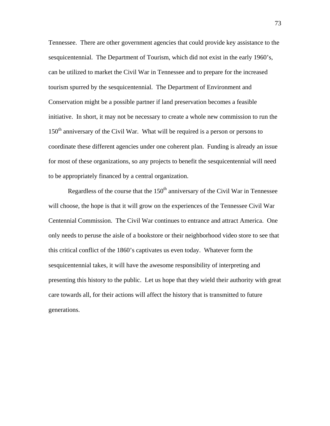Tennessee. There are other government agencies that could provide key assistance to the sesquicentennial. The Department of Tourism, which did not exist in the early 1960's, can be utilized to market the Civil War in Tennessee and to prepare for the increased tourism spurred by the sesquicentennial. The Department of Environment and Conservation might be a possible partner if land preservation becomes a feasible initiative. In short, it may not be necessary to create a whole new commission to run the 150<sup>th</sup> anniversary of the Civil War. What will be required is a person or persons to coordinate these different agencies under one coherent plan. Funding is already an issue for most of these organizations, so any projects to benefit the sesquicentennial will need to be appropriately financed by a central organization.

Regardless of the course that the  $150<sup>th</sup>$  anniversary of the Civil War in Tennessee will choose, the hope is that it will grow on the experiences of the Tennessee Civil War Centennial Commission. The Civil War continues to entrance and attract America. One only needs to peruse the aisle of a bookstore or their neighborhood video store to see that this critical conflict of the 1860's captivates us even today. Whatever form the sesquicentennial takes, it will have the awesome responsibility of interpreting and presenting this history to the public. Let us hope that they wield their authority with great care towards all, for their actions will affect the history that is transmitted to future generations.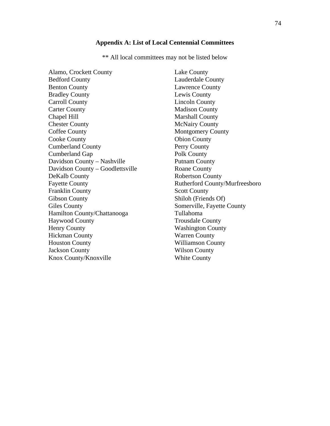# **Appendix A: List of Local Centennial Committees**

\*\* All local committees may not be listed below

| Alamo, Crockett County           | Lake County                    |
|----------------------------------|--------------------------------|
| <b>Bedford County</b>            | Lauderdale County              |
| <b>Benton County</b>             | <b>Lawrence County</b>         |
| <b>Bradley County</b>            | Lewis County                   |
| <b>Carroll County</b>            | <b>Lincoln County</b>          |
| <b>Carter County</b>             | <b>Madison County</b>          |
| Chapel Hill                      | <b>Marshall County</b>         |
| <b>Chester County</b>            | <b>McNairy County</b>          |
| <b>Coffee County</b>             | <b>Montgomery County</b>       |
| <b>Cooke County</b>              | <b>Obion County</b>            |
| <b>Cumberland County</b>         | Perry County                   |
| <b>Cumberland Gap</b>            | Polk County                    |
| Davidson County - Nashville      | <b>Putnam County</b>           |
| Davidson County – Goodlettsville | <b>Roane County</b>            |
| DeKalb County                    | <b>Robertson County</b>        |
| <b>Fayette County</b>            | Rutherford County/Murfreesboro |
| <b>Franklin County</b>           | <b>Scott County</b>            |
| <b>Gibson County</b>             | Shiloh (Friends Of)            |
| <b>Giles County</b>              | Somerville, Fayette County     |
| Hamilton County/Chattanooga      | Tullahoma                      |
| <b>Haywood County</b>            | <b>Trousdale County</b>        |
| <b>Henry County</b>              | <b>Washington County</b>       |
| <b>Hickman County</b>            | <b>Warren County</b>           |
| <b>Houston County</b>            | Williamson County              |
| <b>Jackson County</b>            | <b>Wilson County</b>           |
| Knox County/Knoxville            | <b>White County</b>            |
|                                  |                                |

74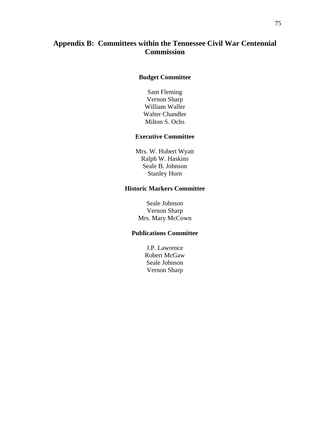## **Appendix B: Committees within the Tennessee Civil War Centennial Commission**

### **Budget Committee**

Sam Fleming Vernon Sharp William Waller Walter Chandler Milton S. Ochs

### **Executive Committee**

Mrs. W. Hubert Wyatt Ralph W. Haskins Seale B. Johnson Stanley Horn

### **Historic Markers Committee**

Seale Johnson Vernon Sharp Mrs. Mary McCown

## **Publications Committee**

J.P. Lawrence Robert McGaw Seale Johnson Vernon Sharp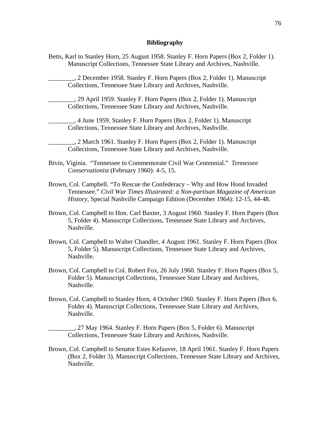#### **Bibliography**

Betts, Karl to Stanley Horn, 25 August 1958. Stanley F. Horn Papers (Box 2, Folder 1). Manuscript Collections, Tennessee State Library and Archives, Nashville.

\_\_\_\_\_\_\_\_, 2 December 1958. Stanley F. Horn Papers (Box 2, Folder 1). Manuscript Collections, Tennessee State Library and Archives, Nashville.

\_\_\_\_\_\_\_\_, 29 April 1959. Stanley F. Horn Papers (Box 2, Folder 1). Manuscript Collections, Tennessee State Library and Archives, Nashville.

\_\_\_\_\_\_\_\_, 4 June 1959. Stanley F. Horn Papers (Box 2, Folder 1). Manuscript Collections, Tennessee State Library and Archives, Nashville.

\_\_\_\_\_\_\_\_, 2 March 1961. Stanley F. Horn Papers (Box 2, Folder 1). Manuscript Collections, Tennessee State Library and Archives, Nashville.

- Bivin, Viginia. "Tennessee to Commemorate Civil War Centennial." *Tennessee Conservationist* (February 1960): 4-5, 15.
- Brown, Col. Campbell. "To Rescue the Confederacy Why and How Hood Invaded Tennessee." *Civil War Times Illustrated: a Non-partisan Magazine of American History*, Special Nashville Campaign Edition (December 1964): 12-15, 44-48.
- Brown, Col. Campbell to Hon. Carl Baxter, 3 August 1960. Stanley F. Horn Papers (Box 5, Folder 4). Manuscript Collections, Tennessee State Library and Archives, Nashville.
- Brown, Col. Campbell to Walter Chandler, 4 August 1961. Stanley F. Horn Papers (Box 5, Folder 5). Manuscript Collections, Tennessee State Library and Archives, Nashville.
- Brown, Col. Campbell to Col. Robert Fox, 26 July 1960. Stanley F. Horn Papers (Box 5, Folder 5). Manuscript Collections, Tennessee State Library and Archives, Nashville.
- Brown, Col. Campbell to Stanley Horn, 4 October 1960. Stanley F. Horn Papers (Box 6, Folder 4). Manuscript Collections, Tennessee State Library and Archives, Nashville.

\_\_\_\_\_\_\_\_, 27 May 1964. Stanley F. Horn Papers (Box 5, Folder 6). Manuscript Collections, Tennessee State Library and Archives, Nashville.

Brown, Col. Campbell to Senator Estes Kefauver, 18 April 1961. Stanley F. Horn Papers (Box 2, Folder 3). Manuscript Collections, Tennessee State Library and Archives, Nashville.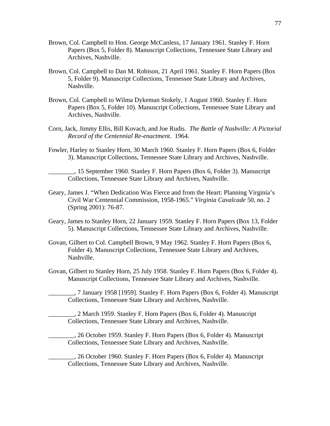- Brown, Col. Campbell to Hon. George McCanless, 17 January 1961. Stanley F. Horn Papers (Box 5, Folder 8). Manuscript Collections, Tennessee State Library and Archives, Nashville.
- Brown, Col. Campbell to Dan M. Robison, 21 April 1961. Stanley F. Horn Papers (Box 5, Folder 9). Manuscript Collections, Tennessee State Library and Archives, Nashville.
- Brown, Col. Campbell to Wilma Dykeman Stokely, 1 August 1960. Stanley F. Horn Papers (Box 5, Folder 10). Manuscript Collections, Tennessee State Library and Archives, Nashville.
- Corn, Jack, Jimmy Ellis, Bill Kovach, and Joe Rudis. *The Battle of Nashville: A Pictorial Record of the Centennial Re-enactment*. 1964.
- Fowler, Harley to Stanley Horn, 30 March 1960. Stanley F. Horn Papers (Box 6, Folder 3). Manuscript Collections, Tennessee State Library and Archives, Nashville.

\_\_\_\_\_\_\_\_, 15 September 1960. Stanley F. Horn Papers (Box 6, Folder 3). Manuscript Collections, Tennessee State Library and Archives, Nashville.

- Geary, James J. "When Dedication Was Fierce and from the Heart: Planning Virginia's Civil War Centennial Commission, 1958-1965." *Virginia Cavalcade* 50, no. 2 (Spring 2001): 76-87.
- Geary, James to Stanley Horn, 22 January 1959. Stanley F. Horn Papers (Box 13, Folder 5). Manuscript Collections, Tennessee State Library and Archives, Nashville.
- Govan, Gilbert to Col. Campbell Brown, 9 May 1962. Stanley F. Horn Papers (Box 6, Folder 4). Manuscript Collections, Tennessee State Library and Archives, Nashville.
- Govan, Gilbert to Stanley Horn, 25 July 1958. Stanley F. Horn Papers (Box 6, Folder 4). Manuscript Collections, Tennessee State Library and Archives, Nashville.

\_\_\_\_\_\_\_\_, 7 January 1958 [1959]. Stanley F. Horn Papers (Box 6, Folder 4). Manuscript Collections, Tennessee State Library and Archives, Nashville.

\_\_\_\_\_\_\_\_, 2 March 1959. Stanley F. Horn Papers (Box 6, Folder 4). Manuscript Collections, Tennessee State Library and Archives, Nashville.

\_\_\_\_\_\_\_\_, 26 October 1959. Stanley F. Horn Papers (Box 6, Folder 4). Manuscript Collections, Tennessee State Library and Archives, Nashville.

\_\_\_\_\_\_\_\_, 26 October 1960. Stanley F. Horn Papers (Box 6, Folder 4). Manuscript Collections, Tennessee State Library and Archives, Nashville.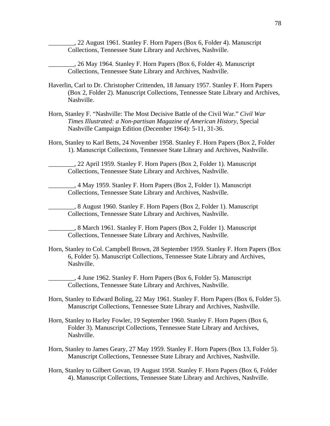\_\_\_\_\_\_\_\_, 22 August 1961. Stanley F. Horn Papers (Box 6, Folder 4). Manuscript Collections, Tennessee State Library and Archives, Nashville.

\_\_\_\_\_\_\_\_, 26 May 1964. Stanley F. Horn Papers (Box 6, Folder 4). Manuscript Collections, Tennessee State Library and Archives, Nashville.

- Haverlin, Carl to Dr. Christopher Crittenden, 18 January 1957. Stanley F. Horn Papers (Box 2, Folder 2). Manuscript Collections, Tennessee State Library and Archives, Nashville.
- Horn, Stanley F. "Nashville: The Most Decisive Battle of the Civil War." *Civil War Times Illustrated: a Non-partisan Magazine of American History*, Special Nashville Campaign Edition (December 1964): 5-11, 31-36.
- Horn, Stanley to Karl Betts, 24 November 1958. Stanley F. Horn Papers (Box 2, Folder 1). Manuscript Collections, Tennessee State Library and Archives, Nashville.

\_\_\_\_\_\_\_\_, 22 April 1959. Stanley F. Horn Papers (Box 2, Folder 1). Manuscript Collections, Tennessee State Library and Archives, Nashville.

\_\_\_\_\_\_\_\_, 4 May 1959. Stanley F. Horn Papers (Box 2, Folder 1). Manuscript Collections, Tennessee State Library and Archives, Nashville.

\_\_\_\_\_\_\_\_, 8 August 1960. Stanley F. Horn Papers (Box 2, Folder 1). Manuscript Collections, Tennessee State Library and Archives, Nashville.

\_\_\_\_\_\_\_\_, 8 March 1961. Stanley F. Horn Papers (Box 2, Folder 1). Manuscript Collections, Tennessee State Library and Archives, Nashville.

Horn, Stanley to Col. Campbell Brown, 28 September 1959. Stanley F. Horn Papers (Box 6, Folder 5). Manuscript Collections, Tennessee State Library and Archives, Nashville.

\_\_\_\_\_\_\_\_, 4 June 1962. Stanley F. Horn Papers (Box 6, Folder 5). Manuscript Collections, Tennessee State Library and Archives, Nashville.

- Horn, Stanley to Edward Boling, 22 May 1961. Stanley F. Horn Papers (Box 6, Folder 5). Manuscript Collections, Tennessee State Library and Archives, Nashville.
- Horn, Stanley to Harley Fowler, 19 September 1960. Stanley F. Horn Papers (Box 6, Folder 3). Manuscript Collections, Tennessee State Library and Archives, Nashville.
- Horn, Stanley to James Geary, 27 May 1959. Stanley F. Horn Papers (Box 13, Folder 5). Manuscript Collections, Tennessee State Library and Archives, Nashville.
- Horn, Stanley to Gilbert Govan, 19 August 1958. Stanley F. Horn Papers (Box 6, Folder 4). Manuscript Collections, Tennessee State Library and Archives, Nashville.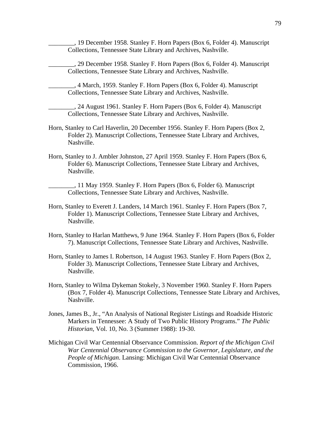\_\_\_\_\_\_\_\_, 19 December 1958. Stanley F. Horn Papers (Box 6, Folder 4). Manuscript Collections, Tennessee State Library and Archives, Nashville.

\_\_\_\_\_\_\_\_, 29 December 1958. Stanley F. Horn Papers (Box 6, Folder 4). Manuscript Collections, Tennessee State Library and Archives, Nashville.

\_\_\_\_\_\_\_\_, 4 March, 1959. Stanley F. Horn Papers (Box 6, Folder 4). Manuscript Collections, Tennessee State Library and Archives, Nashville.

\_\_\_\_\_\_\_\_, 24 August 1961. Stanley F. Horn Papers (Box 6, Folder 4). Manuscript Collections, Tennessee State Library and Archives, Nashville.

- Horn, Stanley to Carl Haverlin, 20 December 1956. Stanley F. Horn Papers (Box 2, Folder 2). Manuscript Collections, Tennessee State Library and Archives, Nashville.
- Horn, Stanley to J. Ambler Johnston, 27 April 1959. Stanley F. Horn Papers (Box 6, Folder 6). Manuscript Collections, Tennessee State Library and Archives, Nashville.

\_\_\_\_\_\_\_\_, 11 May 1959. Stanley F. Horn Papers (Box 6, Folder 6). Manuscript Collections, Tennessee State Library and Archives, Nashville.

- Horn, Stanley to Everett J. Landers, 14 March 1961. Stanley F. Horn Papers (Box 7, Folder 1). Manuscript Collections, Tennessee State Library and Archives, Nashville.
- Horn, Stanley to Harlan Matthews, 9 June 1964. Stanley F. Horn Papers (Box 6, Folder 7). Manuscript Collections, Tennessee State Library and Archives, Nashville.
- Horn, Stanley to James I. Robertson, 14 August 1963. Stanley F. Horn Papers (Box 2, Folder 3). Manuscript Collections, Tennessee State Library and Archives, Nashville.
- Horn, Stanley to Wilma Dykeman Stokely, 3 November 1960. Stanley F. Horn Papers (Box 7, Folder 4). Manuscript Collections, Tennessee State Library and Archives, Nashville.
- Jones, James B., Jr., "An Analysis of National Register Listings and Roadside Historic Markers in Tennessee: A Study of Two Public History Programs." *The Public Historian*, Vol. 10, No. 3 (Summer 1988): 19-30.
- Michigan Civil War Centennial Observance Commission. *Report of the Michigan Civil War Centennial Observance Commission to the Governor, Legislature, and the People of Michigan*. Lansing: Michigan Civil War Centennial Observance Commission, 1966.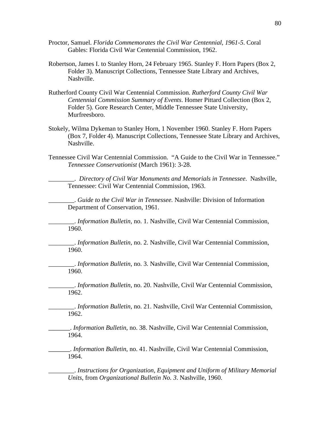- Proctor, Samuel. *Florida Commemorates the Civil War Centennial, 1961-5*. Coral Gables: Florida Civil War Centennial Commission, 1962.
- Robertson, James I. to Stanley Horn, 24 February 1965. Stanley F. Horn Papers (Box 2, Folder 3). Manuscript Collections, Tennessee State Library and Archives, Nashville.
- Rutherford County Civil War Centennial Commission. *Rutherford County Civil War Centennial Commission Summary of Events*. Homer Pittard Collection (Box 2, Folder 5). Gore Research Center, Middle Tennessee State University, Murfreesboro.
- Stokely, Wilma Dykeman to Stanley Horn, 1 November 1960. Stanley F. Horn Papers (Box 7, Folder 4). Manuscript Collections, Tennessee State Library and Archives, Nashville.
- Tennessee Civil War Centennial Commission. "A Guide to the Civil War in Tennessee." *Tennessee Conservationist* (March 1961): 3-28.

\_\_\_\_\_\_\_\_. *Directory of Civil War Monuments and Memorials in Tennessee*. Nashville, Tennessee: Civil War Centennial Commission, 1963.

\_\_\_\_\_\_\_\_. *Guide to the Civil War in Tennessee.* Nashville: Division of Information Department of Conservation, 1961.

\_\_\_\_\_\_\_\_. *Information Bulletin*, no. 1. Nashville, Civil War Centennial Commission, 1960.

\_\_\_\_\_\_\_\_. *Information Bulletin*, no. 2. Nashville, Civil War Centennial Commission, 1960.

\_\_\_\_\_\_\_\_. *Information Bulletin*, no. 3. Nashville, Civil War Centennial Commission, 1960.

\_\_\_\_\_\_\_\_. *Information Bulletin*, no. 20. Nashville, Civil War Centennial Commission, 1962.

\_\_\_\_\_\_\_\_. *Information Bulletin*, no. 21. Nashville, Civil War Centennial Commission, 1962.

**\_\_\_\_\_\_\_\_**. *Information Bulletin*, no. 38. Nashville, Civil War Centennial Commission, 1964.

**\_\_\_\_\_\_\_\_**. *Information Bulletin*, no. 41. Nashville, Civil War Centennial Commission, 1964.

\_\_\_\_\_\_\_\_. *Instructions for Organization, Equipment and Uniform of Military Memorial Units*, from *Organizational Bulletin No. 3*. Nashville, 1960.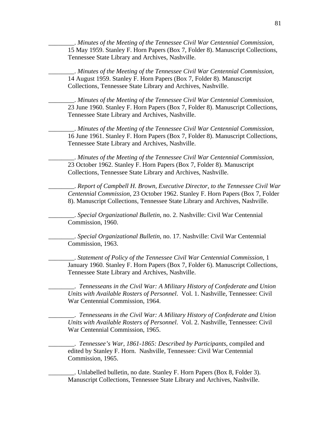\_\_\_\_\_\_\_\_. *Minutes of the Meeting of the Tennessee Civil War Centennial Commission*, 15 May 1959. Stanley F. Horn Papers (Box 7, Folder 8). Manuscript Collections, Tennessee State Library and Archives, Nashville.

\_\_\_\_\_\_\_\_. *Minutes of the Meeting of the Tennessee Civil War Centennial Commission*, 14 August 1959. Stanley F. Horn Papers (Box 7, Folder 8). Manuscript Collections, Tennessee State Library and Archives, Nashville.

\_\_\_\_\_\_\_\_. *Minutes of the Meeting of the Tennessee Civil War Centennial Commission*, 23 June 1960. Stanley F. Horn Papers (Box 7, Folder 8). Manuscript Collections, Tennessee State Library and Archives, Nashville.

\_\_\_\_\_\_\_\_. *Minutes of the Meeting of the Tennessee Civil War Centennial Commission*, 16 June 1961. Stanley F. Horn Papers (Box 7, Folder 8). Manuscript Collections, Tennessee State Library and Archives, Nashville.

\_\_\_\_\_\_\_\_. *Minutes of the Meeting of the Tennessee Civil War Centennial Commission*, 23 October 1962. Stanley F. Horn Papers (Box 7, Folder 8). Manuscript Collections, Tennessee State Library and Archives, Nashville.

\_\_\_\_\_\_\_\_. *Report of Campbell H. Brown, Executive Director, to the Tennessee Civil War Centennial Commission*, 23 October 1962. Stanley F. Horn Papers (Box 7, Folder 8). Manuscript Collections, Tennessee State Library and Archives, Nashville.

\_\_\_\_\_\_\_\_. *Special Organizational Bulletin*, no. 2. Nashville: Civil War Centennial Commission, 1960.

\_\_\_\_\_\_\_\_. *Special Organizational Bulletin*, no. 17. Nashville: Civil War Centennial Commission, 1963.

\_\_\_\_\_\_\_\_. *Statement of Policy of the Tennessee Civil War Centennial Commission*, 1 January 1960. Stanley F. Horn Papers (Box 7, Folder 6). Manuscript Collections, Tennessee State Library and Archives, Nashville.

\_\_\_\_\_\_\_\_. *Tennesseans in the Civil War: A Military History of Confederate and Union Units with Available Rosters of Personnel*. Vol. 1. Nashville, Tennessee: Civil War Centennial Commission, 1964.

\_\_\_\_\_\_\_\_. *Tennesseans in the Civil War: A Military History of Confederate and Union Units with Available Rosters of Personnel*. Vol. 2. Nashville, Tennessee: Civil War Centennial Commission, 1965.

\_\_\_\_\_\_\_\_. *Tennessee's War, 1861-1865: Described by Participants*, compiled and edited by Stanley F. Horn. Nashville, Tennessee: Civil War Centennial Commission, 1965.

\_\_\_\_\_\_\_\_. Unlabelled bulletin, no date. Stanley F. Horn Papers (Box 8, Folder 3). Manuscript Collections, Tennessee State Library and Archives, Nashville.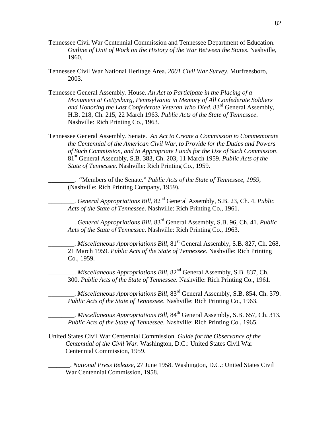- Tennessee Civil War Centennial Commission and Tennessee Department of Education. *Outline of Unit of Work on the History of the War Between the States*. Nashville, 1960.
- Tennessee Civil War National Heritage Area. *2001 Civil War Survey*. Murfreesboro, 2003.
- Tennessee General Assembly. House. *An Act to Participate in the Placing of a Monument at Gettysburg, Pennsylvania in Memory of All Confederate Soldiers and Honoring the Last Confederate Veteran Who Died*. 83rd General Assembly, H.B. 218, Ch. 215, 22 March 1963. *Public Acts of the State of Tennessee*. Nashville: Rich Printing Co., 1963.
- Tennessee General Assembly. Senate. *An Act to Create a Commission to Commemorate the Centennial of the American Civil War, to Provide for the Duties and Powers of Such Commission, and to Appropriate Funds for the Use of Such Commission*. 81st General Assembly, S.B. 383, Ch. 203, 11 March 1959. *Public Acts of the State of Tennessee*. Nashville: Rich Printing Co., 1959.

\_\_\_\_\_\_\_\_. "Members of the Senate." *Public Acts of the State of Tennessee*, *1959*, (Nashville: Rich Printing Company, 1959).

\_\_\_\_\_\_\_\_. *General Appropriations Bill*, 82nd General Assembly, S.B. 23, Ch. 4. *Public Acts of the State of Tennessee*. Nashville: Rich Printing Co., 1961.

\_\_\_\_\_\_\_\_. *General Appropriations Bill*, 83rd General Assembly, S.B. 96, Ch. 41. *Public Acts of the State of Tennessee*. Nashville: Rich Printing Co., 1963.

\_\_\_\_\_\_\_\_. *Miscellaneous Appropriations Bill*, 81st General Assembly, S.B. 827, Ch. 268, 21 March 1959. *Public Acts of the State of Tennessee*. Nashville: Rich Printing Co., 1959.

\_\_\_\_\_\_\_\_. *Miscellaneous Appropriations Bill*, 82nd General Assembly, S.B. 837, Ch. 300. *Public Acts of the State of Tennessee*. Nashville: Rich Printing Co., 1961.

\_\_\_\_\_\_\_\_. *Miscellaneous Appropriations Bill*, 83rd General Assembly, S.B. 854, Ch. 379. *Public Acts of the State of Tennessee*. Nashville: Rich Printing Co., 1963.

\_\_\_\_\_\_\_\_. *Miscellaneous Appropriations Bill*, 84th General Assembly, S.B. 657, Ch. 313. *Public Acts of the State of Tennessee*. Nashville: Rich Printing Co., 1965.

United States Civil War Centennial Commission. *Guide for the Observance of the Centennial of the Civil War*. Washington, D.C.: United States Civil War Centennial Commission, 1959.

**\_\_\_\_\_\_\_\_**. *National Press Release*, 27 June 1958. Washington, D.C.: United States Civil War Centennial Commission, 1958.